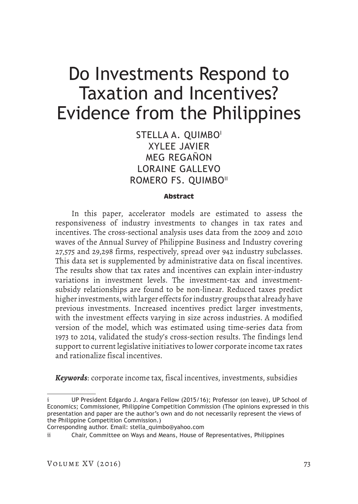STELLA A. OUIMBO<sup>1</sup> XYLEE JAVIER MEG REGAÑON LORAINE GALLEVO ROMERO FS. QUIMBO"

### **Abstract**

In this paper, accelerator models are estimated to assess the responsiveness of industry investments to changes in tax rates and incentives. The cross-sectional analysis uses data from the 2009 and 2010 waves of the Annual Survey of Philippine Business and Industry covering 27,575 and 29,298 firms, respectively, spread over 942 industry subclasses. This data set is supplemented by administrative data on fiscal incentives. The results show that tax rates and incentives can explain inter-industry variations in investment levels. The investment-tax and investmentsubsidy relationships are found to be non-linear. Reduced taxes predict higher investments, with larger effects for industry groups that already have previous investments. Increased incentives predict larger investments, with the investment effects varying in size across industries. A modified version of the model, which was estimated using time-series data from 1973 to 2014, validated the study's cross-section results. The findings lend support to current legislative initiatives to lower corporate income tax rates and rationalize fiscal incentives.

*Keywords*: corporate income tax, fiscal incentives, investments, subsidies

UP President Edgardo J. Angara Fellow (2015/16); Professor (on leave), UP School of Economics; Commissioner, Philippine Competition Commission (The opinions expressed in this presentation and paper are the author's own and do not necessarily represent the views of the Philippine Competition Commission.)

Corresponding author. Email: stella\_quimbo@yahoo.com

Chair, Committee on Ways and Means, House of Representatives, Philippines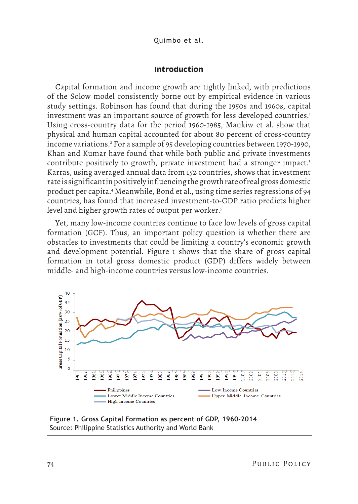Quimbo et al.

### **Introduction**

Capital formation and income growth are tightly linked, with predictions of the Solow model consistently borne out by empirical evidence in various study settings. Robinson has found that during the 1950s and 1960s, capital investment was an important source of growth for less developed countries.<sup>1</sup> Using cross-country data for the period 1960-1985, Mankiw et al. show that physical and human capital accounted for about 80 percent of cross-country income variations.2 For a sample of 95 developing countries between 1970-1990, Khan and Kumar have found that while both public and private investments contribute positively to growth, private investment had a stronger impact.<sup>3</sup> Karras, using averaged annual data from 152 countries, shows that investment rate is significant in positively influencing the growth rate of real gross domestic product per capita.4 Meanwhile, Bond et al., using time series regressions of 94 countries, has found that increased investment-to-GDP ratio predicts higher level and higher growth rates of output per worker.<sup>5</sup>

Yet, many low-income countries continue to face low levels of gross capital formation (GCF). Thus, an important policy question is whether there are obstacles to investments that could be limiting a country's economic growth and development potential. Figure 1 shows that the share of gross capital formation in total gross domestic product (GDP) differs widely between middle- and high-income countries versus low-income countries.



**Figure 1. Gross Capital Formation as percent of GDP, 1960-2014**  Source: Philippine Statistics Authority and World Bank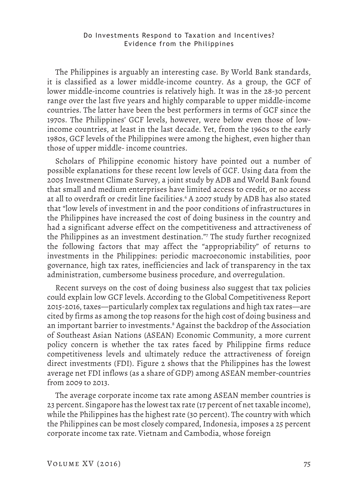The Philippines is arguably an interesting case. By World Bank standards, it is classified as a lower middle-income country. As a group, the GCF of lower middle-income countries is relatively high. It was in the 28-30 percent range over the last five years and highly comparable to upper middle-income countries. The latter have been the best performers in terms of GCF since the 1970s. The Philippines' GCF levels, however, were below even those of lowincome countries, at least in the last decade. Yet, from the 1960s to the early 1980s, GCF levels of the Philippines were among the highest, even higher than those of upper middle- income countries.

Scholars of Philippine economic history have pointed out a number of possible explanations for these recent low levels of GCF. Using data from the 2005 Investment Climate Survey, a joint study by ADB and World Bank found that small and medium enterprises have limited access to credit, or no access at all to overdraft or credit line facilities.<sup>6</sup> A 2007 study by ADB has also stated that "low levels of investment in and the poor conditions of infrastructures in the Philippines have increased the cost of doing business in the country and had a significant adverse effect on the competitiveness and attractiveness of the Philippines as an investment destination."7 The study further recognized the following factors that may affect the "appropriability" of returns to investments in the Philippines: periodic macroeconomic instabilities, poor governance, high tax rates, inefficiencies and lack of transparency in the tax administration, cumbersome business procedure, and overregulation.

Recent surveys on the cost of doing business also suggest that tax policies could explain low GCF levels. According to the Global Competitiveness Report 2015-2016, taxes—particularly complex tax regulations and high tax rates—are cited by firms as among the top reasons for the high cost of doing business and an important barrier to investments.8 Against the backdrop of the Association of Southeast Asian Nations (ASEAN) Economic Community, a more current policy concern is whether the tax rates faced by Philippine firms reduce competitiveness levels and ultimately reduce the attractiveness of foreign direct investments (FDI). Figure 2 shows that the Philippines has the lowest average net FDI inflows (as a share of GDP) among ASEAN member-countries from 2009 to 2013.

The average corporate income tax rate among ASEAN member countries is 23 percent. Singapore has the lowest tax rate (17 percent of net taxable income), while the Philippines has the highest rate (30 percent). The country with which the Philippines can be most closely compared, Indonesia, imposes a 25 percent corporate income tax rate. Vietnam and Cambodia, whose foreign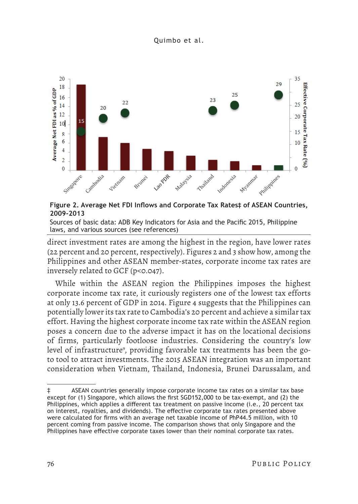

# **Figure 2. Average Net FDI Inflows and Corporate Tax Rates‡ of ASEAN Countries, 2009-2013**

Sources of basic data: ADB Key Indicators for Asia and the Pacific 2015, Philippine laws, and various sources (see references)

direct investment rates are among the highest in the region, have lower rates (22 percent and 20 percent, respectively). Figures 2 and 3 show how, among the Philippines and other ASEAN member-states, corporate income tax rates are inversely related to GCF (p<0.047).

While within the ASEAN region the Philippines imposes the highest corporate income tax rate, it curiously registers one of the lowest tax efforts at only 13.6 percent of GDP in 2014. Figure 4 suggests that the Philippines can potentially lower its tax rate to Cambodia's 20 percent and achieve a similar tax effort. Having the highest corporate income tax rate within the ASEAN region poses a concern due to the adverse impact it has on the locational decisions of firms, particularly footloose industries. Considering the country's low level of infrastructure<sup>,</sup>, providing favorable tax treatments has been the goto tool to attract investments. The 2015 ASEAN integration was an important consideration when Vietnam, Thailand, Indonesia, Brunei Darussalam, and

<sup>‡</sup> ASEAN countries generally impose corporate income tax rates on a similar tax base except for (1) Singapore, which allows the first SGD152,000 to be tax-exempt, and (2) the Philippines, which applies a different tax treatment on passive income (i.e., 20 percent tax on interest, royalties, and dividends). The effective corporate tax rates presented above were calculated for firms with an average net taxable income of PhP44.5 million, with 10 percent coming from passive income. The comparison shows that only Singapore and the Philippines have effective corporate taxes lower than their nominal corporate tax rates.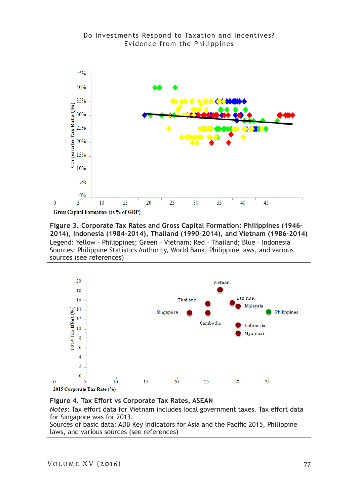



15

20

5

 $\mathbf{0}$ 

**Figure 3. Corporate Tax Rates and Gross Capital Formation: Philippines (1946- 2014), Indonesia (1984-2014), Thailand (1990-2014), and Vietnam (1986-2014)** Legend: Yellow – Philippines; Green – Vietnam; Red – Thailand; Blue – Indonesia Sources: Philippine Statistics Authority, World Bank, Philippine laws, and various sources (see references)

25

30

35

40

45



**Figure 4. Tax Effort vs Corporate Tax Rates, ASEAN**

*Notes:* Tax effort data for Vietnam includes local government taxes. Tax effort data for Singapore was for 2013.

Sources of basic data: ADB Key Indicators for Asia and the Pacific 2015, Philippine laws, and various sources (see references)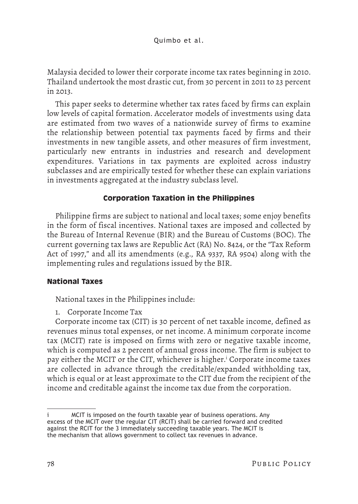Malaysia decided to lower their corporate income tax rates beginning in 2010. Thailand undertook the most drastic cut, from 30 percent in 2011 to 23 percent in 2013.

This paper seeks to determine whether tax rates faced by firms can explain low levels of capital formation. Accelerator models of investments using data are estimated from two waves of a nationwide survey of firms to examine the relationship between potential tax payments faced by firms and their investments in new tangible assets, and other measures of firm investment, particularly new entrants in industries and research and development expenditures. Variations in tax payments are exploited across industry subclasses and are empirically tested for whether these can explain variations in investments aggregated at the industry subclass level.

# **Corporation Taxation in the Philippines**

Philippine firms are subject to national and local taxes; some enjoy benefits in the form of fiscal incentives. National taxes are imposed and collected by the Bureau of Internal Revenue (BIR) and the Bureau of Customs (BOC). The current governing tax laws are Republic Act (RA) No. 8424, or the "Tax Reform Act of 1997," and all its amendments (e.g., RA 9337, RA 9504) along with the implementing rules and regulations issued by the BIR.

# **National Taxes**

National taxes in the Philippines include:

1. Corporate Income Tax

Corporate income tax (CIT) is 30 percent of net taxable income, defined as revenues minus total expenses, or net income. A minimum corporate income tax (MCIT) rate is imposed on firms with zero or negative taxable income, which is computed as 2 percent of annual gross income. The firm is subject to pay either the MCIT or the CIT, whichever is higher.<sup>i</sup> Corporate income taxes are collected in advance through the creditable/expanded withholding tax, which is equal or at least approximate to the CIT due from the recipient of the income and creditable against the income tax due from the corporation.

MCIT is imposed on the fourth taxable year of business operations. Any excess of the MCIT over the regular CIT (RCIT) shall be carried forward and credited against the RCIT for the 3 immediately succeeding taxable years. The MCIT is the mechanism that allows government to collect tax revenues in advance.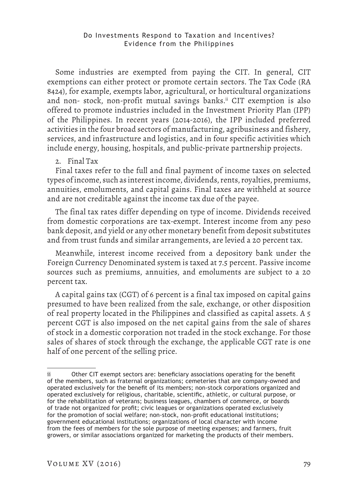Some industries are exempted from paying the CIT. In general, CIT exemptions can either protect or promote certain sectors. The Tax Code (RA 8424), for example, exempts labor, agricultural, or horticultural organizations and non- stock, non-profit mutual savings banks.<sup>ii</sup> CIT exemption is also offered to promote industries included in the Investment Priority Plan (IPP) of the Philippines. In recent years (2014-2016), the IPP included preferred activities in the four broad sectors of manufacturing, agribusiness and fishery, services, and infrastructure and logistics, and in four specific activities which include energy, housing, hospitals, and public-private partnership projects.

2. Final Tax

Final taxes refer to the full and final payment of income taxes on selected types of income, such as interest income, dividends, rents, royalties, premiums, annuities, emoluments, and capital gains. Final taxes are withheld at source and are not creditable against the income tax due of the payee.

The final tax rates differ depending on type of income. Dividends received from domestic corporations are tax-exempt. Interest income from any peso bank deposit, and yield or any other monetary benefit from deposit substitutes and from trust funds and similar arrangements, are levied a 20 percent tax.

Meanwhile, interest income received from a depository bank under the Foreign Currency Denominated system is taxed at 7.5 percent. Passive income sources such as premiums, annuities, and emoluments are subject to a 20 percent tax.

A capital gains tax (CGT) of 6 percent is a final tax imposed on capital gains presumed to have been realized from the sale, exchange, or other disposition of real property located in the Philippines and classified as capital assets. A 5 percent CGT is also imposed on the net capital gains from the sale of shares of stock in a domestic corporation not traded in the stock exchange. For those sales of shares of stock through the exchange, the applicable CGT rate is one half of one percent of the selling price.

Other CIT exempt sectors are: beneficiary associations operating for the benefit of the members, such as fraternal organizations; cemeteries that are company-owned and operated exclusively for the benefit of its members; non-stock corporations organized and operated exclusively for religious, charitable, scientific, athletic, or cultural purpose, or for the rehabilitation of veterans; business leagues, chambers of commerce, or boards of trade not organized for profit; civic leagues or organizations operated exclusively for the promotion of social welfare; non-stock, non-profit educational institutions; government educational institutions; organizations of local character with income from the fees of members for the sole purpose of meeting expenses; and farmers, fruit growers, or similar associations organized for marketing the products of their members.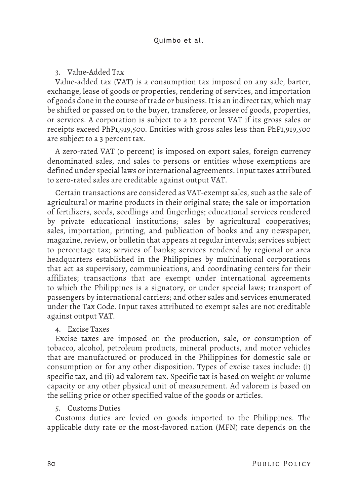3. Value-Added Tax

Value-added tax (VAT) is a consumption tax imposed on any sale, barter, exchange, lease of goods or properties, rendering of services, and importation of goods done in the course of trade or business. It is an indirect tax, which may be shifted or passed on to the buyer, transferee, or lessee of goods, properties, or services. A corporation is subject to a 12 percent VAT if its gross sales or receipts exceed PhP1,919,500. Entities with gross sales less than PhP1,919,500 are subject to a 3 percent tax.

A zero-rated VAT (0 percent) is imposed on export sales, foreign currency denominated sales, and sales to persons or entities whose exemptions are defined under special laws or international agreements. Input taxes attributed to zero-rated sales are creditable against output VAT.

Certain transactions are considered as VAT-exempt sales, such as the sale of agricultural or marine products in their original state; the sale or importation of fertilizers, seeds, seedlings and fingerlings; educational services rendered by private educational institutions; sales by agricultural cooperatives; sales, importation, printing, and publication of books and any newspaper, magazine, review, or bulletin that appears at regular intervals; services subject to percentage tax; services of banks; services rendered by regional or area headquarters established in the Philippines by multinational corporations that act as supervisory, communications, and coordinating centers for their affiliates; transactions that are exempt under international agreements to which the Philippines is a signatory, or under special laws; transport of passengers by international carriers; and other sales and services enumerated under the Tax Code. Input taxes attributed to exempt sales are not creditable against output VAT.

4. Excise Taxes

Excise taxes are imposed on the production, sale, or consumption of tobacco, alcohol, petroleum products, mineral products, and motor vehicles that are manufactured or produced in the Philippines for domestic sale or consumption or for any other disposition. Types of excise taxes include: (i) specific tax, and (ii) ad valorem tax. Specific tax is based on weight or volume capacity or any other physical unit of measurement. Ad valorem is based on the selling price or other specified value of the goods or articles.

# 5. Customs Duties

Customs duties are levied on goods imported to the Philippines. The applicable duty rate or the most-favored nation (MFN) rate depends on the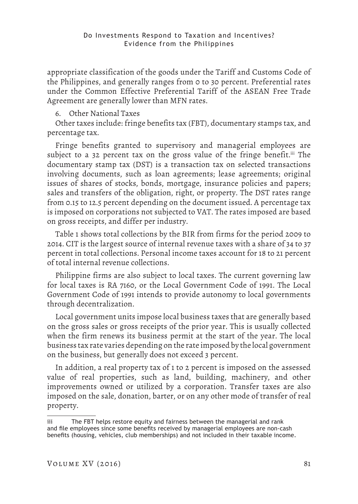appropriate classification of the goods under the Tariff and Customs Code of the Philippines, and generally ranges from 0 to 30 percent. Preferential rates under the Common Effective Preferential Tariff of the ASEAN Free Trade Agreement are generally lower than MFN rates.

# 6. Other National Taxes

Other taxes include: fringe benefits tax (FBT), documentary stamps tax, and percentage tax.

Fringe benefits granted to supervisory and managerial employees are subject to a 32 percent tax on the gross value of the fringe benefit.<sup>iii</sup> The documentary stamp tax (DST) is a transaction tax on selected transactions involving documents, such as loan agreements; lease agreements; original issues of shares of stocks, bonds, mortgage, insurance policies and papers; sales and transfers of the obligation, right, or property. The DST rates range from 0.15 to 12.5 percent depending on the document issued. A percentage tax is imposed on corporations not subjected to VAT. The rates imposed are based on gross receipts, and differ per industry.

Table 1 shows total collections by the BIR from firms for the period 2009 to 2014. CIT is the largest source of internal revenue taxes with a share of 34 to 37 percent in total collections. Personal income taxes account for 18 to 21 percent of total internal revenue collections.

Philippine firms are also subject to local taxes. The current governing law for local taxes is RA 7160, or the Local Government Code of 1991. The Local Government Code of 1991 intends to provide autonomy to local governments through decentralization.

Local government units impose local business taxes that are generally based on the gross sales or gross receipts of the prior year. This is usually collected when the firm renews its business permit at the start of the year. The local business tax rate varies depending on the rate imposed by the local government on the business, but generally does not exceed 3 percent.

In addition, a real property tax of 1 to 2 percent is imposed on the assessed value of real properties, such as land, building, machinery, and other improvements owned or utilized by a corporation. Transfer taxes are also imposed on the sale, donation, barter, or on any other mode of transfer of real property.

iii The FBT helps restore equity and fairness between the managerial and rank and file employees since some benefits received by managerial employees are non-cash benefits (housing, vehicles, club memberships) and not included in their taxable income.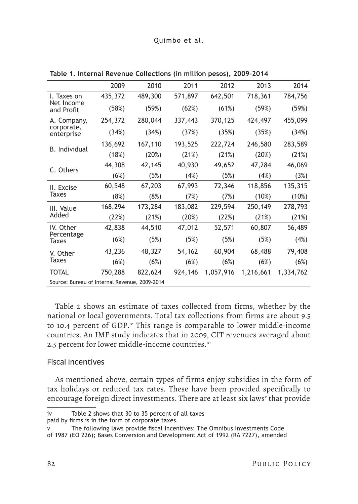### Quimbo et al.

|                                               | 2009    | 2010    | 2011    | 2012      | 2013      | 2014      |
|-----------------------------------------------|---------|---------|---------|-----------|-----------|-----------|
| I. Taxes on                                   | 435,372 | 489,300 | 571,897 | 642,501   | 718,361   | 784,756   |
| Net Income<br>and Profit                      | (58%)   | (59%)   | (62%)   | (61%)     | (59%)     | (59%)     |
| A. Company,                                   | 254,372 | 280,044 | 337,443 | 370,125   | 424,497   | 455,099   |
| corporate,<br>enterprise                      | (34%)   | (34%)   | (37%)   | (35%)     | (35%)     | (34%)     |
| <b>B.</b> Individual                          | 136,692 | 167,110 | 193,525 | 222,724   | 246,580   | 283,589   |
|                                               | (18%)   | (20%)   | (21%)   | (21%)     | (20%)     | (21%)     |
|                                               | 44,308  | 42,145  | 40,930  | 49,652    | 47,284    | 46,069    |
| C. Others                                     | (6%)    | (5%)    | (4%)    | (5%)      | (4%)      | (3%)      |
| II. Excise                                    | 60,548  | 67,203  | 67,993  | 72,346    | 118,856   | 135,315   |
| <b>Taxes</b>                                  | (8%)    | (8%)    | (7%)    | (7%)      | (10%)     | (10%)     |
| III. Value                                    | 168,294 | 173,284 | 183,082 | 229,594   | 250,149   | 278,793   |
| Added                                         | (22%)   | (21%)   | (20%)   | (22%)     | (21%)     | (21%)     |
| IV. Other                                     | 42,838  | 44,510  | 47,012  | 52,571    | 60,807    | 56,489    |
| Percentage<br>Taxes                           | (6%)    | (5%)    | (5%)    | (5%)      | (5%)      | (4%)      |
| V. Other                                      | 43,236  | 48,327  | 54,162  | 60,904    | 68,488    | 79,408    |
| Taxes                                         | (6%)    | (6%)    | (6%)    | (6%)      | (6%)      | (6%)      |
| <b>TOTAL</b>                                  | 750,288 | 822,624 | 924,146 | 1,057,916 | 1,216,661 | 1,334,762 |
| Source: Bureau of Internal Revenue, 2009-2014 |         |         |         |           |           |           |

**Table 1. Internal Revenue Collections (in million pesos), 2009-2014**

Table 2 shows an estimate of taxes collected from firms, whether by the national or local governments. Total tax collections from firms are about 9.5 to 10.4 percent of GDP.<sup>iv</sup> This range is comparable to lower middle-income countries. An IMF study indicates that in 2009, CIT revenues averaged about 2.5 percent for lower middle-income countries.<sup>10</sup>

### Fiscal Incentives

As mentioned above, certain types of firms enjoy subsidies in the form of tax holidays or reduced tax rates. These have been provided specifically to encourage foreign direct investments. There are at least six laws<sup>v</sup> that provide

iv Table 2 shows that 30 to 35 percent of all taxes

paid by firms is in the form of corporate taxes.

v The following laws provide fiscal incentives: The Omnibus Investments Code

of 1987 (EO 226); Bases Conversion and Development Act of 1992 (RA 7227), amended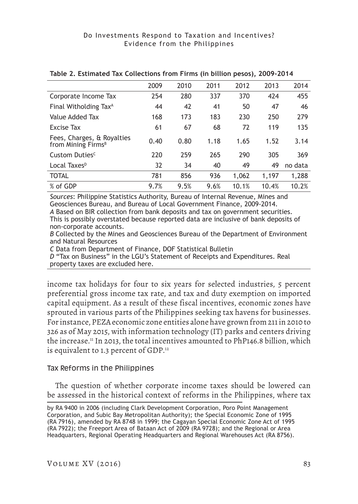| 2009 | 2010 | 2011 | 2012  | 2013  | 2014    |
|------|------|------|-------|-------|---------|
| 254  | 280  | 337  | 370   | 424   | 455     |
| 44   | 42   | 41   | 50    | 47    | 46      |
| 168  | 173  | 183  | 230   | 250   | 279     |
| 61   | 67   | 68   | 72    | 119   | 135     |
| 0.40 | 0.80 | 1.18 | 1.65  | 1.52  | 3.14    |
| 220  | 259  | 265  | 290   | 305   | 369     |
| 32   | 34   | 40   | 49    | 49    | no data |
| 781  | 856  | 936  | 1,062 | 1,197 | 1,288   |
| 9.7% | 9.5% | 9.6% | 10.1% | 10.4% | 10.2%   |
|      |      |      |       |       |         |

### **Table 2. Estimated Tax Collections from Firms (in billion pesos), 2009-2014**

*Sources*: Philippine Statistics Authority, Bureau of Internal Revenue, Mines and Geosciences Bureau, and Bureau of Local Government Finance, 2009-2014.

*A* Based on BIR collection from bank deposits and tax on government securities. This is possibly overstated because reported data are inclusive of bank deposits of non-corporate accounts.

*B* Collected by the Mines and Geosciences Bureau of the Department of Environment and Natural Resources

*C* Data from Department of Finance, DOF Statistical Bulletin

*D* "Tax on Business" in the LGU's Statement of Receipts and Expenditures. Real property taxes are excluded here.

income tax holidays for four to six years for selected industries, 5 percent preferential gross income tax rate, and tax and duty exemption on imported capital equipment. As a result of these fiscal incentives, economic zones have sprouted in various parts of the Philippines seeking tax havens for businesses. For instance, PEZA economic zone entities alone have grown from 211 in 2010 to 326 as of May 2015, with information technology (IT) parks and centers driving the increase.<sup>11</sup> In 2013, the total incentives amounted to PhP146.8 billion, which is equivalent to 1.3 percent of GDP.<sup>12</sup>

# Tax Reforms in the Philippines

The question of whether corporate income taxes should be lowered can be assessed in the historical context of reforms in the Philippines, where tax

by RA 9400 in 2006 (including Clark Development Corporation, Poro Point Management Corporation, and Subic Bay Metropolitan Authority); the Special Economic Zone of 1995 (RA 7916), amended by RA 8748 in 1999; the Cagayan Special Economic Zone Act of 1995 (RA 7922); the Freeport Area of Bataan Act of 2009 (RA 9728); and the Regional or Area Headquarters, Regional Operating Headquarters and Regional Warehouses Act (RA 8756).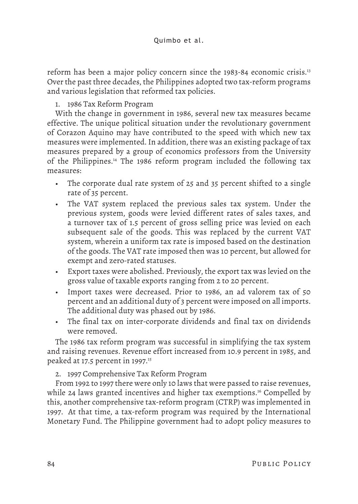reform has been a major policy concern since the 1983-84 economic crisis.<sup>13</sup> Over the past three decades, the Philippines adopted two tax-reform programs and various legislation that reformed tax policies.

1. 1986 Tax Reform Program

With the change in government in 1986, several new tax measures became effective. The unique political situation under the revolutionary government of Corazon Aquino may have contributed to the speed with which new tax measures were implemented. In addition, there was an existing package of tax measures prepared by a group of economics professors from the University of the Philippines.14 The 1986 reform program included the following tax measures:

- The corporate dual rate system of 25 and 35 percent shifted to a single rate of 35 percent.
- The VAT system replaced the previous sales tax system. Under the previous system, goods were levied different rates of sales taxes, and a turnover tax of 1.5 percent of gross selling price was levied on each subsequent sale of the goods. This was replaced by the current VAT system, wherein a uniform tax rate is imposed based on the destination of the goods. The VAT rate imposed then was 10 percent, but allowed for exempt and zero-rated statuses.
- Export taxes were abolished. Previously, the export tax was levied on the gross value of taxable exports ranging from 2 to 20 percent.
- Import taxes were decreased. Prior to 1986, an ad valorem tax of 50 percent and an additional duty of 3 percent were imposed on all imports. The additional duty was phased out by 1986.
- The final tax on inter-corporate dividends and final tax on dividends were removed.

The 1986 tax reform program was successful in simplifying the tax system and raising revenues. Revenue effort increased from 10.9 percent in 1985, and peaked at 17.5 percent in 1997.<sup>15</sup>

2. 1997 Comprehensive Tax Reform Program

From 1992 to 1997 there were only 10 laws that were passed to raise revenues, while 24 laws granted incentives and higher tax exemptions.<sup>16</sup> Compelled by this, another comprehensive tax-reform program (CTRP) was implemented in 1997. At that time, a tax-reform program was required by the International Monetary Fund. The Philippine government had to adopt policy measures to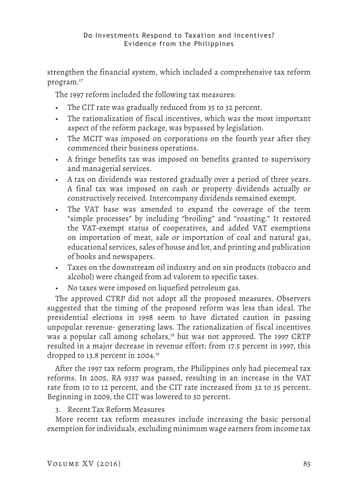strengthen the financial system, which included a comprehensive tax reform program.17

The 1997 reform included the following tax measures:

- The CIT rate was gradually reduced from 35 to 32 percent.
- The rationalization of fiscal incentives, which was the most important aspect of the reform package, was bypassed by legislation.
- The MCIT was imposed on corporations on the fourth year after they commenced their business operations.
- A fringe benefits tax was imposed on benefits granted to supervisory and managerial services.
- A tax on dividends was restored gradually over a period of three years. A final tax was imposed on cash or property dividends actually or constructively received. Intercompany dividends remained exempt.
- The VAT base was amended to expand the coverage of the term "simple processes" by including "broiling" and "roasting." It restored the VAT-exempt status of cooperatives, and added VAT exemptions on importation of meat, sale or importation of coal and natural gas, educational services, sales of house and lot, and printing and publication of books and newspapers.
- Taxes on the downstream oil industry and on sin products (tobacco and alcohol) were changed from ad valorem to specific taxes.
- No taxes were imposed on liquefied petroleum gas.

The approved CTRP did not adopt all the proposed measures. Observers suggested that the timing of the proposed reform was less than ideal. The presidential elections in 1998 seem to have dictated caution in passing unpopular revenue- generating laws. The rationalization of fiscal incentives was a popular call among scholars,<sup>18</sup> but was not approved. The 1997 CRTP resulted in a major decrease in revenue effort: from 17.5 percent in 1997, this dropped to 13.8 percent in 2004.19

After the 1997 tax reform program, the Philippines only had piecemeal tax reforms. In 2005, RA 9337 was passed, resulting in an increase in the VAT rate from 10 to 12 percent, and the CIT rate increased from 32 to 35 percent. Beginning in 2009, the CIT was lowered to 30 percent.

# 3. Recent Tax Reform Measures

More recent tax reform measures include increasing the basic personal exemption for individuals, excluding minimum wage earners from income tax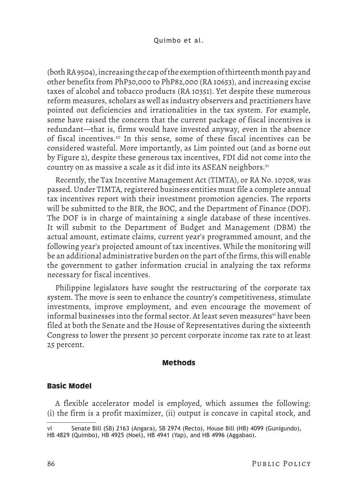(both RA 9504), increasing the cap of the exemption of thirteenth month pay and other benefits from PhP30,000 to PhP82,000 (RA 10653), and increasing excise taxes of alcohol and tobacco products (RA 10351). Yet despite these numerous reform measures, scholars as well as industry observers and practitioners have pointed out deficiencies and irrationalities in the tax system. For example, some have raised the concern that the current package of fiscal incentives is redundant—that is, firms would have invested anyway, even in the absence of fiscal incentives.20 In this sense, some of these fiscal incentives can be considered wasteful. More importantly, as Lim pointed out (and as borne out by Figure 2), despite these generous tax incentives, FDI did not come into the country on as massive a scale as it did into its ASEAN neighbors.21

Recently, the Tax Incentive Management Act (TIMTA), or RA No. 10708, was passed. Under TIMTA, registered business entities must file a complete annual tax incentives report with their investment promotion agencies. The reports will be submitted to the BIR, the BOC, and the Department of Finance (DOF). The DOF is in charge of maintaining a single database of these incentives. It will submit to the Department of Budget and Management (DBM) the actual amount, estimate claims, current year's programmed amount, and the following year's projected amount of tax incentives. While the monitoring will be an additional administrative burden on the part of the firms, this will enable the government to gather information crucial in analyzing the tax reforms necessary for fiscal incentives.

Philippine legislators have sought the restructuring of the corporate tax system. The move is seen to enhance the country's competitiveness, stimulate investments, improve employment, and even encourage the movement of informal businesses into the formal sector. At least seven measures<sup>vi</sup> have been filed at both the Senate and the House of Representatives during the sixteenth Congress to lower the present 30 percent corporate income tax rate to at least 25 percent.

## **Methods**

### **Basic Model**

A flexible accelerator model is employed, which assumes the following: (i) the firm is a profit maximizer, (ii) output is concave in capital stock, and

Senate Bill (SB) 2163 (Angara), SB 2974 (Recto), House Bill (HB) 4099 (Gunigundo), HB 4829 (Quimbo), HB 4925 (Noel), HB 4941 (Yap), and HB 4996 (Aggabao).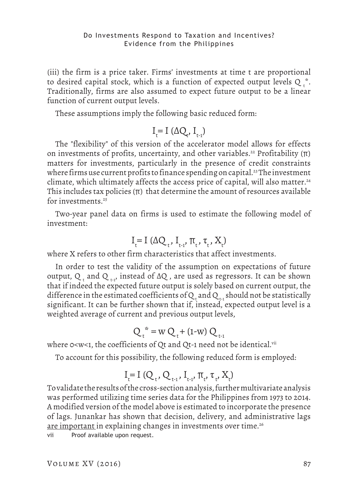(iii) the firm is a price taker. Firms' investments at time t are proportional to desired capital stock, which is a function of expected output levels Q  $_{\rm t}$ . Traditionally, firms are also assumed to expect future output to be a linear function of current output levels.

These assumptions imply the following basic reduced form:

$$
I_{t}^{\vphantom{1}}\!\!\!\!=I\;(\Delta Q_{t}^{\vphantom{1}},\,I_{_{t\text{-}1}}^{\vphantom{1}})
$$

The "flexibility" of this version of the accelerator model allows for effects on investments of profits, uncertainty, and other variables.<sup>22</sup> Profitability ( $\pi$ ) matters for investments, particularly in the presence of credit constraints where firms use current profits to finance spending on capital.<sup>23</sup> The investment climate, which ultimately affects the access price of capital, will also matter.<sup>24</sup> This includes tax policies  $(\pi)$  that determine the amount of resources available for investments.25

Two-year panel data on firms is used to estimate the following model of investment:

$$
I_t = I(\Delta Q_t, I_{t-1}, \pi_t, \tau_t, X_t)
$$

where X refers to other firm characteristics that affect investments.

In order to test the validity of the assumption on expectations of future output, Q  $_{\rm t}$  and Q  $_{\rm t\text{-}1'}$  instead of ∆Q , are used as regressors. It can be shown that if indeed the expected future output is solely based on current output, the difference in the estimated coefficients of  $\mathsf{Q}_{_{\sf t}}$  and  $\mathsf{Q}_{_{\sf t-1}}$  should not be statistically significant. It can be further shown that if, instead, expected output level is a weighted average of current and previous output levels,

$$
Q_t^* = w Q_t + (1-w) Q_{t-1}
$$

where  $o$ <w<1, the coefficients of Qt and Qt-1 need not be identical. $v$ ii

To account for this possibility, the following reduced form is employed:

$$
I_t = I (Q_t, Q_{t-1}, I_{t-1}, \pi_t, \tau_t, X_t)
$$

To validate the results of the cross-section analysis, further multivariate analysis was performed utilizing time series data for the Philippines from 1973 to 2014. A modified version of the model above is estimated to incorporate the presence of lags. Junankar has shown that decision, delivery, and administrative lags are important in explaining changes in investments over time.<sup>26</sup>

vii Proof available upon request.

VOLUME  $XV$  (2016) 87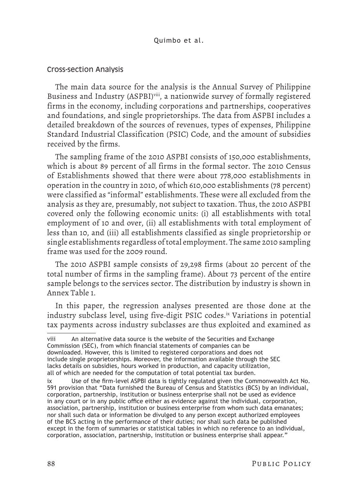### Quimbo et al.

### Cross-section Analysis

The main data source for the analysis is the Annual Survey of Philippine Business and Industry (ASPBI)<sup>viii</sup>, a nationwide survey of formally registered firms in the economy, including corporations and partnerships, cooperatives and foundations, and single proprietorships. The data from ASPBI includes a detailed breakdown of the sources of revenues, types of expenses, Philippine Standard Industrial Classification (PSIC) Code, and the amount of subsidies received by the firms.

The sampling frame of the 2010 ASPBI consists of 150,000 establishments, which is about 89 percent of all firms in the formal sector. The 2010 Census of Establishments showed that there were about 778,000 establishments in operation in the country in 2010, of which 610,000 establishments (78 percent) were classified as "informal" establishments. These were all excluded from the analysis as they are, presumably, not subject to taxation. Thus, the 2010 ASPBI covered only the following economic units: (i) all establishments with total employment of 10 and over, (ii) all establishments with total employment of less than 10, and (iii) all establishments classified as single proprietorship or single establishments regardless of total employment. The same 2010 sampling frame was used for the 2009 round.

The 2010 ASPBI sample consists of 29,298 firms (about 20 percent of the total number of firms in the sampling frame). About 73 percent of the entire sample belongs to the services sector. The distribution by industry is shown in Annex Table 1.

In this paper, the regression analyses presented are those done at the industry subclass level, using five-digit PSIC codes.<sup>ix</sup> Variations in potential tax payments across industry subclasses are thus exploited and examined as

viii An alternative data source is the website of the Securities and Exchange Commission (SEC), from which financial statements of companies can be downloaded. However, this is limited to registered corporations and does not include single proprietorships. Moreover, the information available through the SEC lacks details on subsidies, hours worked in production, and capacity utilization, all of which are needed for the computation of total potential tax burden.

ix Use of the firm-level ASPBI data is tightly regulated given the Commonwealth Act No. 591 provision that "Data furnished the Bureau of Census and Statistics (BCS) by an individual, corporation, partnership, institution or business enterprise shall not be used as evidence in any court or in any public office either as evidence against the individual, corporation, association, partnership, institution or business enterprise from whom such data emanates; nor shall such data or information be divulged to any person except authorized employees of the BCS acting in the performance of their duties; nor shall such data be published except in the form of summaries or statistical tables in which no reference to an individual, corporation, association, partnership, institution or business enterprise shall appear."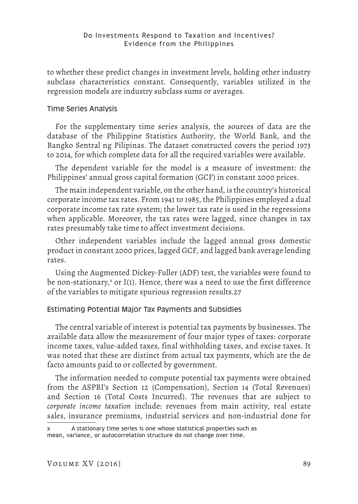to whether these predict changes in investment levels, holding other industry subclass characteristics constant. Consequently, variables utilized in the regression models are industry subclass sums or averages.

# Time Series Analysis

For the supplementary time series analysis, the sources of data are the database of the Philippine Statistics Authority, the World Bank, and the Bangko Sentral ng Pilipinas. The dataset constructed covers the period 1973 to 2014, for which complete data for all the required variables were available.

The dependent variable for the model is a measure of investment: the Philippines' annual gross capital formation (GCF) in constant 2000 prices.

The main independent variable, on the other hand, is the country's historical corporate income tax rates. From 1941 to 1985, the Philippines employed a dual corporate income tax rate system; the lower tax rate is used in the regressions when applicable. Moreover, the tax rates were lagged, since changes in tax rates presumably take time to affect investment decisions.

Other independent variables include the lagged annual gross domestic product in constant 2000 prices, lagged GCF, and lagged bank average lending rates.

Using the Augmented Dickey-Fuller (ADF) test, the variables were found to be non-stationary,<sup>x</sup> or I(1). Hence, there was a need to use the first difference of the variables to mitigate spurious regression results.27

### Estimating Potential Major Tax Payments and Subsidies

The central variable of interest is potential tax payments by businesses. The available data allow the measurement of four major types of taxes: corporate income taxes, value-added taxes, final withholding taxes, and excise taxes. It was noted that these are distinct from actual tax payments, which are the de facto amounts paid to or collected by government.

The information needed to compute potential tax payments were obtained from the ASPBI's Section 12 (Compensation), Section 14 (Total Revenues) and Section 16 (Total Costs Incurred). The revenues that are subject to *corporate income taxation* include: revenues from main activity, real estate sales, insurance premiums, industrial services and non-industrial done for

x A stationary time series is one whose statistical properties such as mean, variance, or autocorrelation structure do not change over time.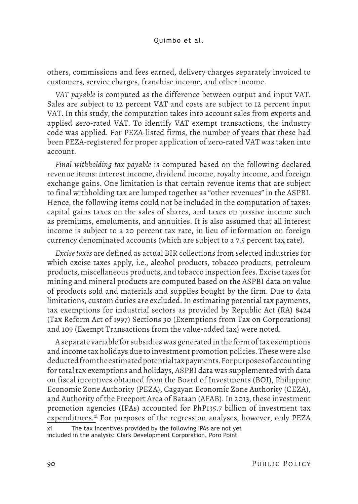others, commissions and fees earned, delivery charges separately invoiced to customers, service charges, franchise income, and other income.

*VAT payable* is computed as the difference between output and input VAT. Sales are subject to 12 percent VAT and costs are subject to 12 percent input VAT. In this study, the computation takes into account sales from exports and applied zero-rated VAT. To identify VAT exempt transactions, the industry code was applied. For PEZA-listed firms, the number of years that these had been PEZA-registered for proper application of zero-rated VAT was taken into account.

*Final withholding tax payable* is computed based on the following declared revenue items: interest income, dividend income, royalty income, and foreign exchange gains. One limitation is that certain revenue items that are subject to final withholding tax are lumped together as "other revenues" in the ASPBI. Hence, the following items could not be included in the computation of taxes: capital gains taxes on the sales of shares, and taxes on passive income such as premiums, emoluments, and annuities. It is also assumed that all interest income is subject to a 20 percent tax rate, in lieu of information on foreign currency denominated accounts (which are subject to a 7.5 percent tax rate).

*Excise taxes* are defined as actual BIR collections from selected industries for which excise taxes apply, i.e., alcohol products, tobacco products, petroleum products, miscellaneous products, and tobacco inspection fees. Excise taxes for mining and mineral products are computed based on the ASPBI data on value of products sold and materials and supplies bought by the firm. Due to data limitations, custom duties are excluded. In estimating potential tax payments, tax exemptions for industrial sectors as provided by Republic Act (RA) 8424 (Tax Reform Act of 1997) Sections 30 (Exemptions from Tax on Corporations) and 109 (Exempt Transactions from the value-added tax) were noted.

A separate variable for subsidies was generated in the form of tax exemptions and income tax holidays due to investment promotion policies. These were also deducted from the estimated potential tax payments. For purposes of accounting for total tax exemptions and holidays, ASPBI data was supplemented with data on fiscal incentives obtained from the Board of Investments (BOI), Philippine Economic Zone Authority (PEZA), Cagayan Economic Zone Authority (CEZA), and Authority of the Freeport Area of Bataan (AFAB). In 2013, these investment promotion agencies (IPAs) accounted for PhP135.7 billion of investment tax expenditures.<sup>xi</sup> For purposes of the regression analyses, however, only PEZA

The tax incentives provided by the following IPAs are not yet included in the analysis: Clark Development Corporation, Poro Point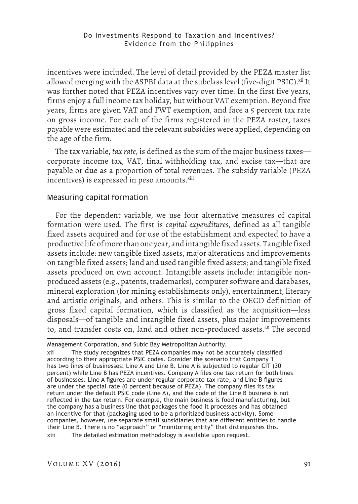incentives were included. The level of detail provided by the PEZA master list allowed merging with the ASPBI data at the subclass level (five-digit PSIC).<sup>xii</sup> It was further noted that PEZA incentives vary over time: In the first five years, firms enjoy a full income tax holiday, but without VAT exemption. Beyond five years, firms are given VAT and FWT exemption, and face a 5 percent tax rate on gross income. For each of the firms registered in the PEZA roster, taxes payable were estimated and the relevant subsidies were applied, depending on the age of the firm.

The tax variable, *tax rate*, is defined as the sum of the major business taxes corporate income tax, VAT, final withholding tax, and excise tax—that are payable or due as a proportion of total revenues. The subsidy variable (PEZA incentives) is expressed in peso amounts.<sup>xiii</sup>

# Measuring capital formation

For the dependent variable, we use four alternative measures of capital formation were used. The first is *capital expenditures*, defined as all tangible fixed assets acquired and for use of the establishment and expected to have a productive life of more than one year, and intangible fixed assets. Tangible fixed assets include: new tangible fixed assets, major alterations and improvements on tangible fixed assets; land and used tangible fixed assets; and tangible fixed assets produced on own account. Intangible assets include: intangible nonproduced assets (e.g., patents, trademarks), computer software and databases, mineral exploration (for mining establishments only), entertainment, literary and artistic originals, and others. This is similar to the OECD definition of gross fixed capital formation, which is classified as the acquisition—less disposals—of tangible and intangible fixed assets, plus major improvements to, and transfer costs on, land and other non-produced assets.<sup>28</sup> The second

Management Corporation, and Subic Bay Metropolitan Authority.

xii The study recognizes that PEZA companies may not be accurately classified according to their appropriate PSIC codes. Consider the scenario that Company 1 has two lines of businesses: Line A and Line B. Line A is subjected to regular CIT (30 percent) while Line B has PEZA incentives. Company A files one tax return for both lines of businesses. Line A figures are under regular corporate tax rate, and Line B figures are under the special rate (0 percent because of PEZA). The company files its tax return under the default PSIC code (Line A), and the code of the Line B business is not reflected in the tax return. For example, the main business is food manufacturing, but the company has a business line that packages the food it processes and has obtained an incentive for that (packaging used to be a prioritized business activity). Some companies, however, use separate small subsidiaries that are different entities to handle their Line B. There is no "approach" or "monitoring entity" that distinguishes this. xiii The detailed estimation methodology is available upon request.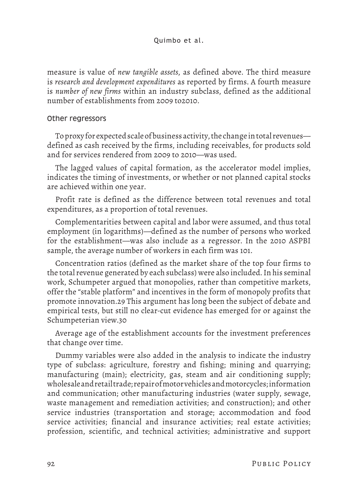measure is value of *new tangible assets*, as defined above. The third measure is *research and development expenditures* as reported by firms. A fourth measure is *number of new firms* within an industry subclass, defined as the additional number of establishments from 2009 to2010.

# Other regressors

To proxy for expected scale of business activity, the change in total revenues defined as cash received by the firms, including receivables, for products sold and for services rendered from 2009 to 2010—was used.

The lagged values of capital formation, as the accelerator model implies, indicates the timing of investments, or whether or not planned capital stocks are achieved within one year.

Profit rate is defined as the difference between total revenues and total expenditures, as a proportion of total revenues.

Complementarities between capital and labor were assumed, and thus total employment (in logarithms)—defined as the number of persons who worked for the establishment—was also include as a regressor. In the 2010 ASPBI sample, the average number of workers in each firm was 101.

Concentration ratios (defined as the market share of the top four firms to the total revenue generated by each subclass) were also included. In his seminal work, Schumpeter argued that monopolies, rather than competitive markets, offer the "stable platform" and incentives in the form of monopoly profits that promote innovation.29 This argument has long been the subject of debate and empirical tests, but still no clear-cut evidence has emerged for or against the Schumpeterian view.30

Average age of the establishment accounts for the investment preferences that change over time.

Dummy variables were also added in the analysis to indicate the industry type of subclass: agriculture, forestry and fishing; mining and quarrying; manufacturing (main); electricity, gas, steam and air conditioning supply; wholesale and retail trade; repair of motor vehicles and motorcycles; information and communication; other manufacturing industries (water supply, sewage, waste management and remediation activities; and construction); and other service industries (transportation and storage; accommodation and food service activities; financial and insurance activities; real estate activities; profession, scientific, and technical activities; administrative and support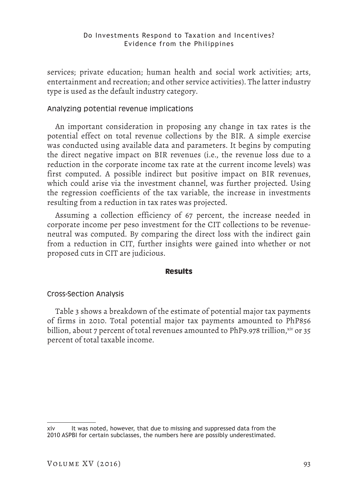services; private education; human health and social work activities; arts, entertainment and recreation; and other service activities). The latter industry type is used as the default industry category.

# Analyzing potential revenue implications

An important consideration in proposing any change in tax rates is the potential effect on total revenue collections by the BIR. A simple exercise was conducted using available data and parameters. It begins by computing the direct negative impact on BIR revenues (i.e., the revenue loss due to a reduction in the corporate income tax rate at the current income levels) was first computed. A possible indirect but positive impact on BIR revenues, which could arise via the investment channel, was further projected. Using the regression coefficients of the tax variable, the increase in investments resulting from a reduction in tax rates was projected.

Assuming a collection efficiency of 67 percent, the increase needed in corporate income per peso investment for the CIT collections to be revenueneutral was computed. By comparing the direct loss with the indirect gain from a reduction in CIT, further insights were gained into whether or not proposed cuts in CIT are judicious.

# **Results**

# Cross-Section Analysis

Table 3 shows a breakdown of the estimate of potential major tax payments of firms in 2010. Total potential major tax payments amounted to PhP856 billion, about 7 percent of total revenues amounted to PhP9.978 trillion,  $\mathrm{xiv}$  or 35 percent of total taxable income.

xiv It was noted, however, that due to missing and suppressed data from the 2010 ASPBI for certain subclasses, the numbers here are possibly underestimated.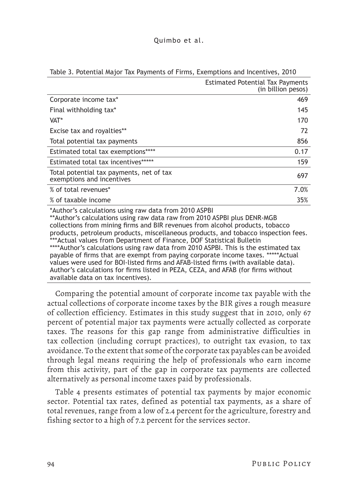|                                                                       | <b>Estimated Potential Tax Payments</b><br>(in billion pesos) |
|-----------------------------------------------------------------------|---------------------------------------------------------------|
| Corporate income tax*                                                 | 469                                                           |
| Final withholding tax*                                                | 145                                                           |
| VAT*                                                                  | 170                                                           |
| Excise tax and royalties**                                            | 72                                                            |
| Total potential tax payments                                          | 856                                                           |
| Estimated total tax exemptions****                                    | 0.17                                                          |
| Estimated total tax incentives*****                                   | 159                                                           |
| Total potential tax payments, net of tax<br>exemptions and incentives | 697                                                           |
| % of total revenues*                                                  | 7.0%                                                          |
| % of taxable income                                                   | 35%                                                           |
| *Author's calculations using raw data from 2010 ASPRI                 |                                                               |

### Table 3. Potential Major Tax Payments of Firms, Exemptions and Incentives, 2010

alculations using raw data from 2010 ASPB \*\*Author's calculations using raw data raw from 2010 ASPBI plus DENR-MGB collections from mining firms and BIR revenues from alcohol products, tobacco products, petroleum products, miscellaneous products, and tobacco inspection fees. \*\*\*Actual values from Department of Finance, DOF Statistical Bulletin \*\*\*\*Author's calculations using raw data from 2010 ASPBI. This is the estimated tax payable of firms that are exempt from paying corporate income taxes. \*\*\*\*\*Actual values were used for BOI-listed firms and AFAB-listed firms (with available data). Author's calculations for firms listed in PEZA, CEZA, and AFAB (for firms without available data on tax incentives).

Comparing the potential amount of corporate income tax payable with the actual collections of corporate income taxes by the BIR gives a rough measure of collection efficiency. Estimates in this study suggest that in 2010, only 67 percent of potential major tax payments were actually collected as corporate taxes. The reasons for this gap range from administrative difficulties in tax collection (including corrupt practices), to outright tax evasion, to tax avoidance. To the extent that some of the corporate tax payables can be avoided through legal means requiring the help of professionals who earn income from this activity, part of the gap in corporate tax payments are collected alternatively as personal income taxes paid by professionals.

Table 4 presents estimates of potential tax payments by major economic sector. Potential tax rates, defined as potential tax payments, as a share of total revenues, range from a low of 2.4 percent for the agriculture, forestry and fishing sector to a high of 7.2 percent for the services sector.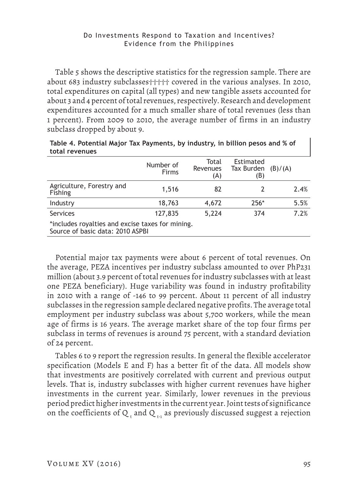Table 5 shows the descriptive statistics for the regression sample. There are about 683 industry subclasses††††† covered in the various analyses. In 2010, total expenditures on capital (all types) and new tangible assets accounted for about 3 and 4 percent of total revenues, respectively. Research and development expenditures accounted for a much smaller share of total revenues (less than 1 percent). From 2009 to 2010, the average number of firms in an industry subclass dropped by about 9.

| Number of<br>Firms | Total<br><b>Revenues</b><br>(A)  | Estimated<br>Tax Burden<br>(B)                   | (B)/(A) |
|--------------------|----------------------------------|--------------------------------------------------|---------|
| 1,516              | 82                               |                                                  | 2.4%    |
| 18,763             | 4,672                            | 256*                                             | 5.5%    |
| 127,835            | 5,224                            | 374                                              | 7.2%    |
|                    |                                  |                                                  |         |
|                    | Source of basic data: 2010 ASPBI | *includes royalties and excise taxes for mining. |         |

| Table 4. Potential Major Tax Payments, by industry, in billion pesos and % of |  |
|-------------------------------------------------------------------------------|--|
| total revenues                                                                |  |

Potential major tax payments were about 6 percent of total revenues. On the average, PEZA incentives per industry subclass amounted to over PhP231 million (about 3.9 percent of total revenues for industry subclasses with at least one PEZA beneficiary). Huge variability was found in industry profitability in 2010 with a range of -146 to 99 percent. About 11 percent of all industry subclasses in the regression sample declared negative profits. The average total employment per industry subclass was about 5,700 workers, while the mean age of firms is 16 years. The average market share of the top four firms per subclass in terms of revenues is around 75 percent, with a standard deviation of 24 percent.

Tables 6 to 9 report the regression results. In general the flexible accelerator specification (Models E and F) has a better fit of the data. All models show that investments are positively correlated with current and previous output levels. That is, industry subclasses with higher current revenues have higher investments in the current year. Similarly, lower revenues in the previous period predict higher investments in the current year. Joint tests of significance on the coefficients of Q  $_{\rm t}$  and Q  $_{\rm t\text{-}1}$  as previously discussed suggest a rejection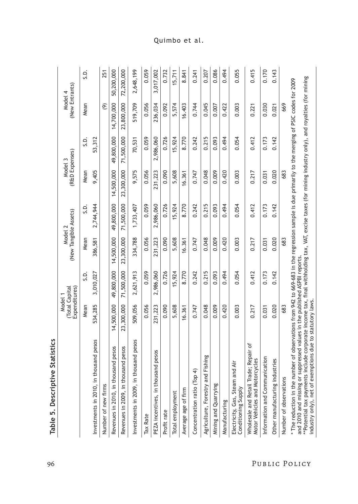| <b>Statistics</b><br>Table 5. Descriptive                                                                                                                                                                                                                                                                                                                                                                                                           |                                           |            |            |                       |                           |            |                           |            |
|-----------------------------------------------------------------------------------------------------------------------------------------------------------------------------------------------------------------------------------------------------------------------------------------------------------------------------------------------------------------------------------------------------------------------------------------------------|-------------------------------------------|------------|------------|-----------------------|---------------------------|------------|---------------------------|------------|
|                                                                                                                                                                                                                                                                                                                                                                                                                                                     | Expenditures)<br>Total Capital<br>Model 1 |            | Model 2    | (New Tangible Assets) | (R&D Expenses)<br>Model 3 |            | (New Entrants)<br>Model 4 |            |
|                                                                                                                                                                                                                                                                                                                                                                                                                                                     | Mean                                      | S.D.       | Mean       | Ġ.                    | Mean                      | Ö.         | Mean                      | S.D.       |
| Investments in 2010, in thousand pesos                                                                                                                                                                                                                                                                                                                                                                                                              | 534,285                                   | 3,010,027  | 386,581    | 2,744,944             | 9,405                     | 53,312     |                           |            |
| Number of new firms                                                                                                                                                                                                                                                                                                                                                                                                                                 |                                           |            |            |                       |                           |            | $\widehat{\mathfrak{G}}$  | 251        |
| Revenues in 2010, in thousand pesos                                                                                                                                                                                                                                                                                                                                                                                                                 | 14,500,000                                | 49,800,000 | 14,500,000 | 49,800,000            | 14,500,000                | 49,800,000 | 14,700,000                | 50,200,000 |
| Revenues in 2009, in thousand pesos                                                                                                                                                                                                                                                                                                                                                                                                                 | 23,300,000                                | 71,500,000 | 23,300,000 | 71,500,000            | 23,300,000                | 71,500,000 | 23,800,000                | 72,200,000 |
| Investments in 2009, in thousand pesos                                                                                                                                                                                                                                                                                                                                                                                                              | 509,056                                   | 2,621,913  | 334,788    | 1,733,407             | 9,575                     | 70,531     | 519,709                   | 2,648,199  |
| Tax Rate                                                                                                                                                                                                                                                                                                                                                                                                                                            | 0.056                                     | 0.059      | 0.056      | 0.059                 | 0.056                     | 0.059      | 0.056                     | 0.059      |
| d pesos<br>PEZA incentives, in thousan                                                                                                                                                                                                                                                                                                                                                                                                              | 231,223                                   | 2,986,060  | 231,223    | 2,986,060             | 231,223                   | 2,986,060  | 236,034                   | 3,017,002  |
| Profit rate                                                                                                                                                                                                                                                                                                                                                                                                                                         | 0.090                                     | 0.726      | 0.090      | 0.726                 | 0.090                     | 0.726      | 0.092                     | 0.732      |
| Total employment                                                                                                                                                                                                                                                                                                                                                                                                                                    | 5,608                                     | 5,924      | 5,608      | 15,924                | 5,608                     | 15,924     | 5,574                     | 15,711     |
| Average age of firm                                                                                                                                                                                                                                                                                                                                                                                                                                 | 16.361                                    | 8.770      | 16.361     | 8.770                 | 16.361                    | 8.770      | 16.403                    | 8.841      |
| Concentration ratio (Top 4)                                                                                                                                                                                                                                                                                                                                                                                                                         | 0.747                                     | 0.242      | 0.747      | 0.242                 | 0.747                     | 0.242      | 0.744                     | 0.241      |
| ishing<br>Agriculture, Forestry and Fi                                                                                                                                                                                                                                                                                                                                                                                                              | 0.048                                     | 0.215      | 0.048      | 0.215                 | 0.048                     | 0.215      | 0.045                     | 0.207      |
| Mining and Quarrying                                                                                                                                                                                                                                                                                                                                                                                                                                | 0.009                                     | 0.093      | 0.009      | 0.093                 | 0.009                     | 0.093      | 0.007                     | 0.086      |
| Manufacturing                                                                                                                                                                                                                                                                                                                                                                                                                                       | 0.420                                     | 0.494      | 0.420      | 0.494                 | 0.420                     | 0.494      | 0.422                     | 0.494      |
| Air<br>Electricity, Gas, Steam and<br>Conditioning Supply                                                                                                                                                                                                                                                                                                                                                                                           | 0.003                                     | 0.054      | 0.003      | 0.054                 | 0.003                     | 0.054      | 0.003                     | 0.055      |
| Wholesale and Retail Trade; Repair of<br>Motor Vehicles and Motorcycles                                                                                                                                                                                                                                                                                                                                                                             | 0.217                                     | 0.412      | 0.217      | 0.412                 | 0.217                     | 0.412      | 0.221                     | 0.415      |
| Information and Communication                                                                                                                                                                                                                                                                                                                                                                                                                       | 0.031                                     | 0.173      | 0.031      | 0.173                 | 0.031                     | 0.173      | 0.030                     | 0.170      |
| Other manufacturing industries                                                                                                                                                                                                                                                                                                                                                                                                                      | 0.020                                     | 0.142      | 0.020      | 0.142                 | 0.020                     | 0.142      | 0.021                     | 0.143      |
| Number of observations                                                                                                                                                                                                                                                                                                                                                                                                                              | 683                                       |            | 683        |                       | 683                       |            | 669                       |            |
| **Potential tax payments include corporate income tax, final withholding tax, VAT, excise taxes (for mining industry only), and royalties (for mining<br>* The reduction in the number of observations from 942 to 669-683 in the regression sample is due primarily to the merging of PSIC codes for 2009<br>and 2010 and missing or suppressed values in the published ASPBI reports.<br>industry only), net of exemptions due to statutory laws. |                                           |            |            |                       |                           |            |                           |            |

# 96 Public Policy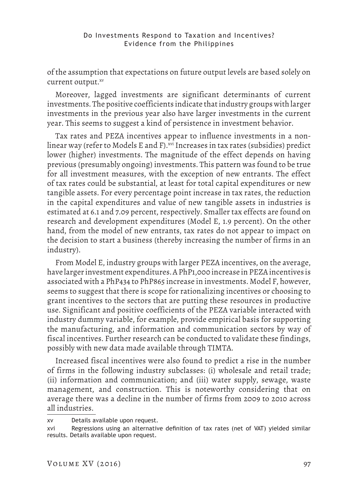of the assumption that expectations on future output levels are based solely on current output.xv

Moreover, lagged investments are significant determinants of current investments. The positive coefficients indicate that industry groups with larger investments in the previous year also have larger investments in the current year. This seems to suggest a kind of persistence in investment behavior.

Tax rates and PEZA incentives appear to influence investments in a nonlinear way (refer to Models E and F).  $^{xvi}$  Increases in tax rates (subsidies) predict lower (higher) investments. The magnitude of the effect depends on having previous (presumably ongoing) investments. This pattern was found to be true for all investment measures, with the exception of new entrants. The effect of tax rates could be substantial, at least for total capital expenditures or new tangible assets. For every percentage point increase in tax rates, the reduction in the capital expenditures and value of new tangible assets in industries is estimated at 6.1 and 7.09 percent, respectively. Smaller tax effects are found on research and development expenditures (Model E, 1.9 percent). On the other hand, from the model of new entrants, tax rates do not appear to impact on the decision to start a business (thereby increasing the number of firms in an industry).

From Model E, industry groups with larger PEZA incentives, on the average, have larger investment expenditures. A PhP1,000 increase in PEZA incentives is associated with a PhP434 to PhP865 increase in investments. Model F, however, seems to suggest that there is scope for rationalizing incentives or choosing to grant incentives to the sectors that are putting these resources in productive use. Significant and positive coefficients of the PEZA variable interacted with industry dummy variable, for example, provide empirical basis for supporting the manufacturing, and information and communication sectors by way of fiscal incentives. Further research can be conducted to validate these findings, possibly with new data made available through TIMTA.

Increased fiscal incentives were also found to predict a rise in the number of firms in the following industry subclasses: (i) wholesale and retail trade; (ii) information and communication; and (iii) water supply, sewage, waste management, and construction. This is noteworthy considering that on average there was a decline in the number of firms from 2009 to 2010 across all industries.

xv Details available upon request.

xvi Regressions using an alternative definition of tax rates (net of VAT) yielded similar results. Details available upon request.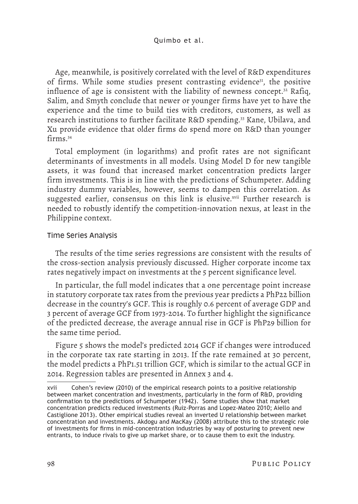Age, meanwhile, is positively correlated with the level of R&D expenditures of firms. While some studies present contrasting evidence<sup>31</sup>, the positive influence of age is consistent with the liability of newness concept.<sup>32</sup> Rafiq, Salim, and Smyth conclude that newer or younger firms have yet to have the experience and the time to build ties with creditors, customers, as well as research institutions to further facilitate R&D spending.33 Kane, Ubilava, and Xu provide evidence that older firms do spend more on R&D than younger firms<sup>34</sup>

Total employment (in logarithms) and profit rates are not significant determinants of investments in all models. Using Model D for new tangible assets, it was found that increased market concentration predicts larger firm investments. This is in line with the predictions of Schumpeter. Adding industry dummy variables, however, seems to dampen this correlation. As suggested earlier, consensus on this link is elusive.<sup>xvii</sup> Further research is needed to robustly identify the competition-innovation nexus, at least in the Philippine context.

# Time Series Analysis

The results of the time series regressions are consistent with the results of the cross-section analysis previously discussed. Higher corporate income tax rates negatively impact on investments at the 5 percent significance level.

In particular, the full model indicates that a one percentage point increase in statutory corporate tax rates from the previous year predicts a PhP22 billion decrease in the country's GCF. This is roughly 0.6 percent of average GDP and 3 percent of average GCF from 1973-2014. To further highlight the significance of the predicted decrease, the average annual rise in GCF is PhP29 billion for the same time period.

Figure 5 shows the model's predicted 2014 GCF if changes were introduced in the corporate tax rate starting in 2013. If the rate remained at 30 percent, the model predicts a PhP1.51 trillion GCF, which is similar to the actual GCF in 2014. Regression tables are presented in Annex 3 and 4.

xvii Cohen's review (2010) of the empirical research points to a positive relationship between market concentration and investments, particularly in the form of R&D, providing confirmation to the predictions of Schumpeter (1942). Some studies show that market concentration predicts reduced investments (Ruiz-Porras and Lopez-Mateo 2010; Aiello and Castiglione 2013). Other empirical studies reveal an inverted U relationship between market concentration and investments. Akdogu and MacKay (2008) attribute this to the strategic role of investments for firms in mid-concentration industries by way of posturing to prevent new entrants, to induce rivals to give up market share, or to cause them to exit the industry.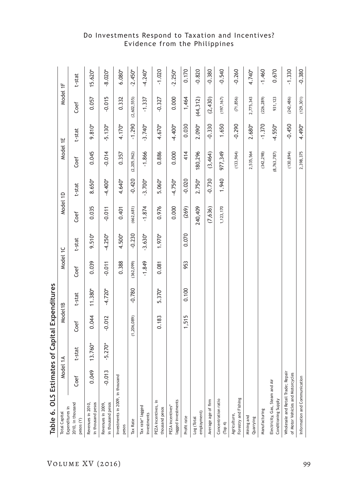| Table 6. OLS Estimat                                                    |          |           | tes of Capital Expenditures |           |            |           |             |           |               |           |             |           |
|-------------------------------------------------------------------------|----------|-----------|-----------------------------|-----------|------------|-----------|-------------|-----------|---------------|-----------|-------------|-----------|
| <b>Total Capital</b>                                                    | Nod      | lel 1A    | Model1B                     |           | Model 1C   |           | Model 1D    |           | Model 1E      |           | Model 1F    |           |
| 2010, in thousand<br>Expenditures in<br>pesos (Y)                       | Coef     | t-stat    | Coef                        | t-stat    | Coef       | t-stat    | Coef        | t-stat    | Coef          | t-stat    | Coef        | t-stat    |
| in thousand pesos<br>Revenues in 2010,                                  | 0.049    | 13.760*   | 0.044                       | 11.380*   | 0.039      | $9.510*$  | 0.035       | 8.650*    | 0.045         | $9.810*$  | 0.057       | $15.620*$ |
| in thousand pesos<br>Revenues in 2009,                                  | $-0.013$ | $-5.270*$ | $-0.012$                    | $-4.720*$ | $-0.011$   | $-4.250*$ | $-0.011$    | $-4.400*$ | $-0.014$      | $-5.130*$ | $-0.015$    | $-8.020*$ |
| Investments in 2009, in thousand<br>pesos                               |          |           |                             |           | 0.388      | 4.500*    | 0.401       | 4.640*    | 0.357         | 4.170*    | 0.332       | 6.080*    |
| Tax Rate                                                                |          |           | (1, 206, 089)               | $-0.780$  | (362, 099) | $-0.230$  | (662, 681)  | $-0.420$  | (2,205,962)   | $-1.290$  | (2,602,555) | $-2.450*$ |
| Tax rate* lagged<br>investments                                         |          |           |                             |           | $-1.849$   | $-3.630*$ | $-1.874$    | $-3.700*$ | $-1.866$      | $-3.740*$ | $-1.337$    | $-4.240*$ |
| PEZA incentives, in<br>thousand pesos                                   |          |           | 0.183                       | 5.370*    | 0.081      | 1.970*    | 0.976       | 5.060*    | 0.886         | 4.670*    | $-0.327$    | $-1.020$  |
| lagged investments<br>PEZA incentives*                                  |          |           |                             |           |            |           | 0.000       | $-4.750*$ | 0.000         | $-4.400*$ | 0.000       | $-2.250*$ |
| Profit rate                                                             |          |           | 1,515                       | 0.100     | 953        | 0.070     | (269)       | $-0.020$  | 414           | 0.030     | 1,464       | 0.170     |
| employment)<br>Log (Total                                               |          |           |                             |           |            |           | 240,409     | 2.750*    | 180,296       | 2.090*    | (44, 312)   | $-0.820$  |
| Average age of firm                                                     |          |           |                             |           |            |           | (7, 636)    | $-0.730$  | (3,464)       | $-0.330$  | (2, 430)    | $-0.380$  |
| Concentration ratio<br>(Top 4)                                          |          |           |                             |           |            |           | 1, 123, 170 | 1.940     | 977,349       | 1.650     | (197, 167)  | $-0.540$  |
| Forestry and Fishing<br>Agriculture,                                    |          |           |                             |           |            |           |             |           | (133,964)     | $-0.290$  | (71, 856)   | $-0.260$  |
| Mining and<br>Quarrying                                                 |          |           |                             |           |            |           |             |           | 2,535,564     | 2.680*    | 2,775,343   | 4.740*    |
| Manufacturing                                                           |          |           |                             |           |            |           |             |           | (342, 298)    | $-1.370$  | (226, 289)  | $-1.460$  |
| Electricity, Gas, Steam and Air<br>Conditioning Supply                  |          |           |                             |           |            |           |             |           | (8, 763, 787) | $-4.550*$ | 931, 123    | 0.670     |
| Wholesale and Retail Trade; Repair<br>of Motor Vehicles and Motorcycles |          |           |                             |           |            |           |             |           | (130, 894)    | $-0.450$  | (242, 486)  | $-1.330$  |
| Information and Communication                                           |          |           |                             |           |            |           |             |           | 2,398,375     | 4.490*    | (129, 301)  | $-0.380$  |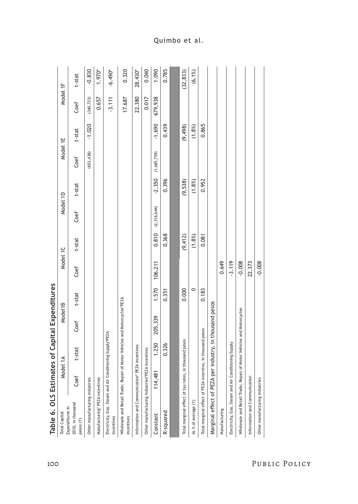| Table 6. OLS Estimat                                                                    |          |                | es of Capital Expenditures  |         |          |           |             |           |             |           |            |           |
|-----------------------------------------------------------------------------------------|----------|----------------|-----------------------------|---------|----------|-----------|-------------|-----------|-------------|-----------|------------|-----------|
| Expenditures in<br><b>Total Capital</b>                                                 | Model 1A |                | Model1B                     |         | Model 1C |           | Model 1D    |           | Model 1E    |           | Model 1F   |           |
| 2010, in thousand<br>pesos (Y)                                                          | Coef     | t-stat         | Coef                        | t-stat  | Coef     | t-stat    | Coef        | t-stat    | Coef        | t-stat    | Coef       | t-stat    |
| Other manufacturing industries                                                          |          |                |                             |         |          |           |             |           | (653, 438)  | $-1.020$  | (340, 733) | $-0.830$  |
| Manufacturing* PEZA incentives                                                          |          |                |                             |         |          |           |             |           |             |           | 0.657      | 1.970*    |
| Electricity, Gas, Steam and Air Conditioning Supply*PEZA<br>incentives                  |          |                |                             |         |          |           |             |           |             |           | $-3.111$   | $-6.490*$ |
| Wholesale and Retail Trade; Repair of Motor Vehicles and Motorcycles*PEZA<br>incentives |          |                |                             |         |          |           |             |           |             |           | 17.687     | 0.320     |
| Information and Communication* PEZA incentives                                          |          |                |                             |         |          |           |             |           |             |           | 22.380     | 28.430*   |
| Other manufacturing industries*PEZA incentives                                          |          |                |                             |         |          |           |             |           |             |           | 0.017      | 0.040     |
| Constant                                                                                | 114,481  | 1.250          | 205,339                     | 1.570   | 106,211  | 0.810     | (2,316,644) | $-2.350$  | (1,685,759) | $-1.690$  | 679,938    | 1.090     |
| R-squared                                                                               |          | 0.326          |                             | 0.351   |          | 0.368     |             | 0.396     |             | 0.439     |            | 0.785     |
|                                                                                         |          |                |                             |         |          |           |             |           |             |           |            |           |
| Total marginal effect of tax rates, in                                                  |          | thousand pesos |                             | 0.000   |          | (9, 412)  |             | (9, 538)  |             | (9, 498)  |            | (32, 833) |
| As % of average (Y)                                                                     |          |                |                             | $\circ$ |          | $(1.8\%)$ |             | $(1.8\%)$ |             | $(1.8\%)$ |            | $(6.1\%)$ |
| Total marginal effect of PEZA incentive, in thousand pesos                              |          |                |                             | 0.183   |          | 0.081     |             | 0.952     |             | 0.865     |            |           |
| Marginal effect of PEZA per                                                             |          |                | industry, in thousand pesos |         |          |           |             |           |             |           |            |           |
| Manufacturing                                                                           |          |                |                             |         | 0.649    |           |             |           |             |           |            |           |
| Electricity, Gas, Steam and Air Conditioning Supply                                     |          |                |                             |         | $-3.119$ |           |             |           |             |           |            |           |
| Wholesale and Retail Trade; Repair of Motor Vehicles and Motorcycles                    |          |                |                             |         | $-0.008$ |           |             |           |             |           |            |           |
| Information and Communication                                                           |          |                |                             |         | 22.373   |           |             |           |             |           |            |           |
| Other manufacturing industries                                                          |          |                |                             |         | $-0.008$ |           |             |           |             |           |            |           |
|                                                                                         |          |                |                             |         |          |           |             |           |             |           |            |           |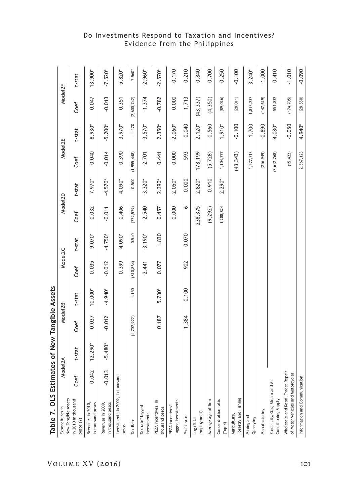| Table 7. OLS Estimat                                                    |          |           | tes of New Tangible Assets |           |                     |           |                     |           |                     |           |                     |           |
|-------------------------------------------------------------------------|----------|-----------|----------------------------|-----------|---------------------|-----------|---------------------|-----------|---------------------|-----------|---------------------|-----------|
| Expenditures in                                                         | Model2A  |           | Model <sub>2B</sub>        |           | Model <sub>2C</sub> |           | Model <sub>2D</sub> |           | Model <sub>2E</sub> |           | Model <sub>2F</sub> |           |
| New Tangible Assets<br>in 2010 in thousand<br>pesos (Y)                 | Coef     | t-stat    | Coef                       | t-stat    | Coef                | t-stat    | Coef                | t-stat    | Coef                | t-stat    | Coef                | t-stat    |
| in thousand pesos<br>Revenues in 2010,                                  | 0.042    | $12.290*$ | 0.037                      | $10.000*$ | 0.035               | 9.070*    | 0.032               | 7.970*    | 0.040               | 8.930*    | 0.047               | 13.900*   |
| in thousand pesos<br>Revenues in 2009,                                  | $-0.013$ | $-5.480*$ | $-0.012$                   | $-4.940*$ | $-0.012$            | $-4.750*$ | $-0.011$            | $-4.570*$ | $-0.014$            | $-5.200*$ | $-0.013$            | $-7.520*$ |
| Investments in 2009, in thousand<br>pesos                               |          |           |                            |           | 0.399               | 4.090*    | 0.406               | 4.090*    | 0.390               | 3.970*    | 0.351               | 5.820*    |
| Tax Rate                                                                |          |           | (1,702,922)                | $-1.150$  | (810, 864)          | $-0.540$  | (772, 529)          | $-0.500$  | (1,955,448)         | $-1.170$  | (2,600,742)         | $-2.560*$ |
| Tax rate* lagged<br>investments                                         |          |           |                            |           | $-2.441$            | $-3.190*$ | $-2.540$            | $-3.320*$ | $-2.701$            | $-3.570*$ | $-1.374$            | $-2.960*$ |
| PEZA incentives, in<br>thousand pesos                                   |          |           | 0.187                      | 5.730*    | 0.077               | 1.830     | 0.457               | 2.390*    | 0.441               | 2.350*    | $-0.782$            | $-2.570*$ |
| lagged investments<br>PEZA incentives*                                  |          |           |                            |           |                     |           | 0.000               | $-2.050*$ | 0.000               | $-2.060*$ | 0.000               | $-0.170$  |
| Profit rate                                                             |          |           | 1,384                      | 0.100     | 902                 | 0.070     | $\bullet$           | 0.000     | 593                 | 0.040     | 1,713               | 0.210     |
| employment)<br>Log (Total                                               |          |           |                            |           |                     |           | 238,375             | 2.820*    | 178,199             | $2.120*$  | (43, 337)           | $-0.840$  |
| Average age of firm                                                     |          |           |                            |           |                     |           | (9, 292)            | $-0.910$  | (5, 728)            | $-0.560$  | (4, 350)            | $-0.700$  |
| Concentration ratio<br>(Top 4)                                          |          |           |                            |           |                     |           | 1,288,824           | 2.290*    | 1,104,777           | 1.910*    | (89, 026)           | $-0.250$  |
| Forestry and Fishing<br>Agriculture,                                    |          |           |                            |           |                     |           |                     |           | (43, 343)           | $-0.100$  | (28, 011)           | $-0.100$  |
| Mining and<br>Quarrying                                                 |          |           |                            |           |                     |           |                     |           | 1,577,713           | 1.700     | 1,813,237           | $3.240*$  |
| Manufacturing                                                           |          |           |                            |           |                     |           |                     |           | (216, 949)          | $-0.890$  | (147, 629)          | $-1.000$  |
| Electricity, Gas, Steam and Air<br>Conditioning Supply                  |          |           |                            |           |                     |           |                     |           | (7, 612, 768)       | $-4.080*$ | 551,832             | 0.410     |
| Wholesale and Retail Trade; Repair<br>of Motor Vehicles and Motorcycles |          |           |                            |           |                     |           |                     |           | (15, 422)           | $-0.050$  | (174, 705)          | $-1.010$  |
| Information and Communication                                           |          |           |                            |           |                     |           |                     |           | 2,567,123           | 4.940*    | (28, 550)           | $-0.090$  |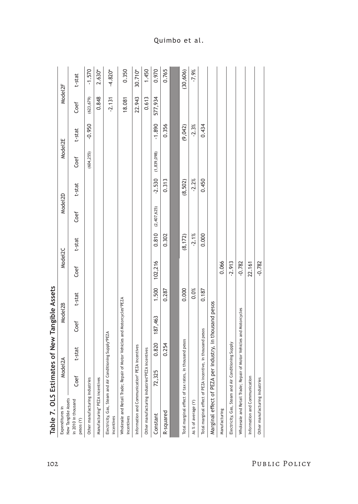| Table 7. OLS Estimates of New Tangible Assets                                           |         |               |                             |        |                     |          |                      |          |               |          |                     |           |
|-----------------------------------------------------------------------------------------|---------|---------------|-----------------------------|--------|---------------------|----------|----------------------|----------|---------------|----------|---------------------|-----------|
| New Tangible Assets<br>Expenditures in                                                  | Model2A |               | Model <sub>2B</sub>         |        | Model <sub>2C</sub> |          | Mode <sub>l</sub> 2D |          | Model2E       |          | Model <sub>2F</sub> |           |
| in 2010 in thousand<br>pesos (Y)                                                        | Coef    | t-stat        | Coef                        | t-stat | Coef                | t-stat   | Coef                 | t-stat   | Coef          | t-stat   | Coef                | t-stat    |
| Other manufacturing industries                                                          |         |               |                             |        |                     |          |                      |          | (604, 255)    | $-0.950$ | (623, 679)          | $-1.570$  |
| Manufacturing* PEZA incentives                                                          |         |               |                             |        |                     |          |                      |          |               |          | 0.848               | $2.630*$  |
| Electricity, Gas, Steam and Air Conditioning Supply*PEZA<br>incentives                  |         |               |                             |        |                     |          |                      |          |               |          | $-2.131$            | $-4.820*$ |
| Wholesale and Retail Trade; Repair of Motor Vehicles and Motorcycles*PEZA<br>incentives |         |               |                             |        |                     |          |                      |          |               |          | 18.081              | 0.350     |
| Information and Communication* PE                                                       |         | ZA incentives |                             |        |                     |          |                      |          |               |          | 22.943              | 30.710*   |
| Other manufacturing industries*PEZA incentives                                          |         |               |                             |        |                     |          |                      |          |               |          | 0.613               | 1.450     |
| Constant                                                                                | 72,325  | 0.820         | 187,463                     | 1.500  | 102,216             | 0.810    | (2,407,625)          | $-2.530$ | (1, 839, 098) | $-1.890$ | 577,934             | 0.970     |
| R-squared                                                                               |         | 0.254         |                             | 0.287  |                     | 0.302    |                      | 0.313    |               | 0.356    |                     | 0.765     |
|                                                                                         |         |               |                             |        |                     |          |                      |          |               |          |                     |           |
| Total marginal effect of tax rates, in thousand pesos                                   |         |               |                             | 0.000  |                     | (8, 172) |                      | (8, 502) |               | (9,042)  |                     | (30, 606) |
| As % of average (Y)                                                                     |         |               |                             | 0.0%   |                     | $-2.1%$  |                      | $-2.2%$  |               | $-2.3%$  |                     | $-7.9%$   |
| Total marginal effect of PEZA incentive, in thousand pesos                              |         |               |                             | 0.187  |                     | 0.000    |                      | 0.450    |               | 0.434    |                     |           |
| Marginal effect of PEZA per                                                             |         |               | industry, in thousand pesos |        |                     |          |                      |          |               |          |                     |           |
| Manufacturing                                                                           |         |               |                             |        | 0.066               |          |                      |          |               |          |                     |           |
| Electricity, Gas, Steam and Air Conditioning Supply                                     |         |               |                             |        | $-2.913$            |          |                      |          |               |          |                     |           |
| Wholesale and Retail Trade; Repair of Motor Vehicles and Motorcycles                    |         |               |                             |        | $-0.782$            |          |                      |          |               |          |                     |           |
| Information and Communication                                                           |         |               |                             |        | 22.161              |          |                      |          |               |          |                     |           |
| Other manufacturing industries                                                          |         |               |                             |        | $-0.782$            |          |                      |          |               |          |                     |           |
|                                                                                         |         |               |                             |        |                     |          |                      |          |               |          |                     |           |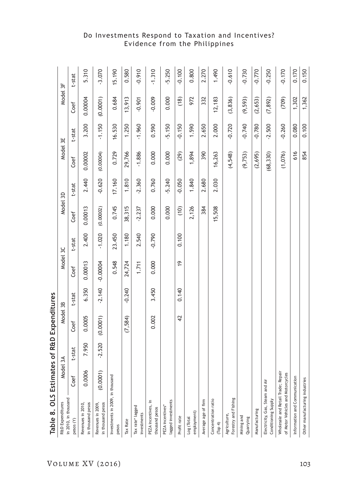| Table 8. OLS Estimates of R&D Expenditures                              |          |          |          |          |               |          |           |          |           |          |          |          |
|-------------------------------------------------------------------------|----------|----------|----------|----------|---------------|----------|-----------|----------|-----------|----------|----------|----------|
| R&D Expenditures                                                        | Model 3A |          | Model 3B |          | Model 3C      |          | Model 3D  |          | Model 3E  |          | Model 3F |          |
| in 2010, in thousand<br>pesos (Y)                                       | Coef     | t-stat   | Coef     | t-stat   | Coef          | t-stat   | Coef      | t-stat   | Coef      | t-stat   | Coef     | t-stat   |
| in thousand pesos<br>Revenues in 2010,                                  | 0.0006   | 7.950    | 0.0005   | 6.350    | 0.00013       | 2.400    | 0.00013   | 2.440    | 0.00002   | 3.200    | 0.00004  | 5.310    |
| in thousand pesos<br>Revenues in 2009,                                  | (0.0001) | $-2.520$ | (0.0001) | $-2.140$ | $-0.00004$    | $-1.020$ | (0.00002) | $-0.620$ | (0.00004) | $-1.150$ | (0.0001) | $-3.070$ |
| Investments in 2009, in thousand<br>pesos                               |          |          |          |          | 0.548         | 23.450   | 0.745     | 17.160   | 0.729     | 16.530   | 0.684    | 15.190   |
| Tax Rate                                                                |          |          | (7,584)  | $-0.240$ | 24,724        | 1.180    | 38,315    | 1.810    | 29,766    | 1.250    | 13,913   | 0.580    |
| Tax rate* lagged<br>investments                                         |          |          |          |          | 1.711         | 2.540    | $-2.237$  | $-2.360$ | $-1.886$  | $-1.960$ | $-0.901$ | $-0.910$ |
| ≘.<br>PEZA incentives,<br>thousand pesos                                |          |          | 0.002    | 3.450    | 0.000         | $-0.790$ | 0.000     | 0.760    | 0.000     | 0.590    | $-0.009$ | $-1.310$ |
| lagged investments<br>PEZA incentives*                                  |          |          |          |          |               |          | 0.000     | $-5.240$ | 0.000     | $-5.150$ | 0.000    | $-5.250$ |
| Profit rate                                                             |          |          | 42       | 0.140    | $\frac{6}{1}$ | 0.100    | (10)      | $-0.050$ | (29)      | $-0.150$ | (18)     | $-0.100$ |
| employment)<br>Log (Total                                               |          |          |          |          |               |          | 2,126     | 1.840    | 1,894     | 1.590    | 972      | 0.800    |
| Average age of firm                                                     |          |          |          |          |               |          | 384       | 2.680    | 390       | 2.650    | 332      | 2.270    |
| Concentration ratio<br>Top 4                                            |          |          |          |          |               |          | 15,508    | 2.030    | 16,263    | 2.000    | 12,183   | 1.490    |
| Forestry and Fishing<br>Agriculture,                                    |          |          |          |          |               |          |           |          | (4,548)   | $-0.720$ | (3, 836) | $-0.610$ |
| Mining and<br>Quarrying                                                 |          |          |          |          |               |          |           |          | (9, 753)  | $-0.740$ | (9, 593) | $-0.730$ |
| Manufacturing                                                           |          |          |          |          |               |          |           |          | (2,695)   | $-0.780$ | (2, 653) | $-0.770$ |
| Electricity, Gas, Steam and Air<br>Conditioning Supply                  |          |          |          |          |               |          |           |          | (68, 330) | $-2.500$ | (7, 892) | $-0.250$ |
| Wholesale and Retail Trade; Repair<br>of Motor Vehicles and Motorcycles |          |          |          |          |               |          |           |          | (1,076)   | $-0.260$ | (709)    | $-0.170$ |
| Information and Communication                                           |          |          |          |          |               |          |           |          | 616       | 0.080    | 1,302    | 0.170    |
| Other manufacturing industries                                          |          |          |          |          |               |          |           |          | 854       | 0.100    | 1,362    | 0.150    |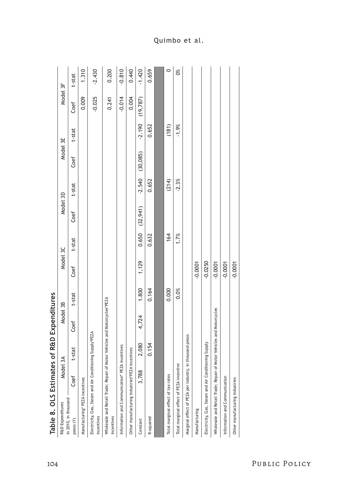| $-0.810$<br>1.310<br>0.440<br>$-1.420$<br>$\circ$<br>$-2.430$<br>0.200<br>ð.<br>0.659<br>t-stat<br>Model 3F<br>0.009<br>$-0.025$<br>$-0.014$<br>0.004<br>0.241<br>(19, 787)<br>Coef<br>$-2.190$<br>$-1.9%$<br>(181)<br>0.652<br>t-stat<br>Model 3E<br>(30, 085)<br>Coef<br>$-2.540$<br>$-2.3%$<br>0.652<br>(214)<br>t-stat<br>Model 3D<br>(32,941)<br>Coef<br>0.650<br>164<br>1.7%<br>0.632<br>t-stat<br>Model 3C<br>1,129<br>$-0.0250$<br>$-0.0001$<br>$-0.0001$<br>$-0.0001$<br>$-0.0001$<br>Coef<br>1.800<br>0.000<br>0.164<br>0.0%<br>t-stat<br>Wholesale and Retail Trade; Repair of Motor Vehicles and Motorcycles*PEZA<br>Model 3B<br>Wholesale and Retail Trade; Repair of Motor Vehicles and Motorcycles<br>4,724<br>Coef<br>Electricity, Gas, Steam and Air Conditioning Supply*PEZA<br>in thousand pesos<br>Electricity, Gas, Steam and Air Conditioning Supply<br>2.080<br>0.154<br>Information and Communication* PEZA incentives<br>Other manufacturing industries*PEZA incentives<br>t-stat<br>Model 3A<br>Total marginal effect of PEZA incentive<br>Marginal effect of PEZA per industry,<br>3,788<br>Total marginal effect of tax rates<br>Coef<br>Information and Communication<br>Manufacturing* PEZA incentives<br>Other manufacturing industries<br>in 2010, in thousand<br>R&D Expenditures<br>Manufacturing<br>incentives<br>incentives<br>R-squared<br>pesos (Y)<br>Constant | Table 8. OLS Estimat |  | es of R&D Expenditures |  |  |  |  |  |
|-------------------------------------------------------------------------------------------------------------------------------------------------------------------------------------------------------------------------------------------------------------------------------------------------------------------------------------------------------------------------------------------------------------------------------------------------------------------------------------------------------------------------------------------------------------------------------------------------------------------------------------------------------------------------------------------------------------------------------------------------------------------------------------------------------------------------------------------------------------------------------------------------------------------------------------------------------------------------------------------------------------------------------------------------------------------------------------------------------------------------------------------------------------------------------------------------------------------------------------------------------------------------------------------------------------------------------------------------------------------------------------------------------|----------------------|--|------------------------|--|--|--|--|--|
|                                                                                                                                                                                                                                                                                                                                                                                                                                                                                                                                                                                                                                                                                                                                                                                                                                                                                                                                                                                                                                                                                                                                                                                                                                                                                                                                                                                                       |                      |  |                        |  |  |  |  |  |
|                                                                                                                                                                                                                                                                                                                                                                                                                                                                                                                                                                                                                                                                                                                                                                                                                                                                                                                                                                                                                                                                                                                                                                                                                                                                                                                                                                                                       |                      |  |                        |  |  |  |  |  |
|                                                                                                                                                                                                                                                                                                                                                                                                                                                                                                                                                                                                                                                                                                                                                                                                                                                                                                                                                                                                                                                                                                                                                                                                                                                                                                                                                                                                       |                      |  |                        |  |  |  |  |  |
|                                                                                                                                                                                                                                                                                                                                                                                                                                                                                                                                                                                                                                                                                                                                                                                                                                                                                                                                                                                                                                                                                                                                                                                                                                                                                                                                                                                                       |                      |  |                        |  |  |  |  |  |
|                                                                                                                                                                                                                                                                                                                                                                                                                                                                                                                                                                                                                                                                                                                                                                                                                                                                                                                                                                                                                                                                                                                                                                                                                                                                                                                                                                                                       |                      |  |                        |  |  |  |  |  |
|                                                                                                                                                                                                                                                                                                                                                                                                                                                                                                                                                                                                                                                                                                                                                                                                                                                                                                                                                                                                                                                                                                                                                                                                                                                                                                                                                                                                       |                      |  |                        |  |  |  |  |  |
|                                                                                                                                                                                                                                                                                                                                                                                                                                                                                                                                                                                                                                                                                                                                                                                                                                                                                                                                                                                                                                                                                                                                                                                                                                                                                                                                                                                                       |                      |  |                        |  |  |  |  |  |
|                                                                                                                                                                                                                                                                                                                                                                                                                                                                                                                                                                                                                                                                                                                                                                                                                                                                                                                                                                                                                                                                                                                                                                                                                                                                                                                                                                                                       |                      |  |                        |  |  |  |  |  |
|                                                                                                                                                                                                                                                                                                                                                                                                                                                                                                                                                                                                                                                                                                                                                                                                                                                                                                                                                                                                                                                                                                                                                                                                                                                                                                                                                                                                       |                      |  |                        |  |  |  |  |  |
|                                                                                                                                                                                                                                                                                                                                                                                                                                                                                                                                                                                                                                                                                                                                                                                                                                                                                                                                                                                                                                                                                                                                                                                                                                                                                                                                                                                                       |                      |  |                        |  |  |  |  |  |
|                                                                                                                                                                                                                                                                                                                                                                                                                                                                                                                                                                                                                                                                                                                                                                                                                                                                                                                                                                                                                                                                                                                                                                                                                                                                                                                                                                                                       |                      |  |                        |  |  |  |  |  |
|                                                                                                                                                                                                                                                                                                                                                                                                                                                                                                                                                                                                                                                                                                                                                                                                                                                                                                                                                                                                                                                                                                                                                                                                                                                                                                                                                                                                       |                      |  |                        |  |  |  |  |  |
|                                                                                                                                                                                                                                                                                                                                                                                                                                                                                                                                                                                                                                                                                                                                                                                                                                                                                                                                                                                                                                                                                                                                                                                                                                                                                                                                                                                                       |                      |  |                        |  |  |  |  |  |
|                                                                                                                                                                                                                                                                                                                                                                                                                                                                                                                                                                                                                                                                                                                                                                                                                                                                                                                                                                                                                                                                                                                                                                                                                                                                                                                                                                                                       |                      |  |                        |  |  |  |  |  |
|                                                                                                                                                                                                                                                                                                                                                                                                                                                                                                                                                                                                                                                                                                                                                                                                                                                                                                                                                                                                                                                                                                                                                                                                                                                                                                                                                                                                       |                      |  |                        |  |  |  |  |  |
|                                                                                                                                                                                                                                                                                                                                                                                                                                                                                                                                                                                                                                                                                                                                                                                                                                                                                                                                                                                                                                                                                                                                                                                                                                                                                                                                                                                                       |                      |  |                        |  |  |  |  |  |
|                                                                                                                                                                                                                                                                                                                                                                                                                                                                                                                                                                                                                                                                                                                                                                                                                                                                                                                                                                                                                                                                                                                                                                                                                                                                                                                                                                                                       |                      |  |                        |  |  |  |  |  |
|                                                                                                                                                                                                                                                                                                                                                                                                                                                                                                                                                                                                                                                                                                                                                                                                                                                                                                                                                                                                                                                                                                                                                                                                                                                                                                                                                                                                       |                      |  |                        |  |  |  |  |  |

| l             |
|---------------|
|               |
|               |
|               |
| ֝֝֝<br>׆      |
|               |
| ı             |
| Č<br>l        |
|               |
| $\frac{1}{2}$ |
|               |
|               |
| ļ             |
|               |
| į             |
| -<br>-<br>-   |
|               |
|               |
|               |
| $\alpha$<br>i |
|               |
|               |
|               |
|               |
|               |

Quimbo et al.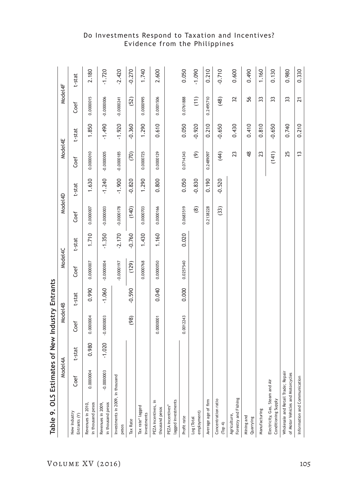| Table 9. OLS Estimat                                                    |              |          | tes of New Industry Entrants |          |              |          |              |          |                          |          |                 |          |
|-------------------------------------------------------------------------|--------------|----------|------------------------------|----------|--------------|----------|--------------|----------|--------------------------|----------|-----------------|----------|
|                                                                         | Š            | del4A    | Model4B                      |          | Model4C      |          | Model4D      |          | Model4E                  |          | Model4F         |          |
| New Industry<br>Entrants (Y)                                            | Coef         | t-stat   | Coef                         | t-stat   | Coef         | t-stat   | Coef         | t-stat   | Coef                     | t-stat   | Coef            | t-stat   |
| in thousand pesos<br>Revenues in 2010,                                  | 0.0000004    | 0.980    | 0.0000004                    | 0.990    | 0.0000007    | 1.710    | 0.0000007    | 1.630    | 0.0000010                | 1.850    | 0.0000015       | 2.180    |
| in thousand pesos<br>Revenues in 2009,                                  | $-0.0000003$ | $-1.020$ | $-0.0000003$                 | $-1.060$ | $-0.0000004$ | $-1.350$ | $-0.0000003$ | $-1.240$ | $-0.0000005$             | $-1.490$ | $-0.0000006$    | $-1.720$ |
| Investments in 2009, in thousand<br>pesos                               |              |          |                              |          | $-0.0000197$ | $-2.170$ | $-0.0000178$ | $-1.900$ | $-0.0000185$             | $-1.920$ | $-0.0000241$    | $-2.420$ |
| Tax Rate                                                                |              |          | (98)                         | $-0.590$ | (129)        | $-0.760$ | (140)        | $-0.820$ | (70)                     | $-0.360$ | (52)            | $-0.270$ |
| Tax rate* lagged<br>investments                                         |              |          |                              |          | 0.0000768    | 1.430    | 0.0000703    | 1.290    | 0.0000725                | 1.290    | 0.0000995       | 1.740    |
| PEZA incentives, in<br>thousand pesos                                   |              |          | 0.0000001                    | 0.040    | 0.0000050    | 1.160    | 0.0000166    | 0.800    | 0.0000129                | 0.610    | 0.0001506       | 2.600    |
| lagged investments<br>PEZA incentives*                                  |              |          |                              |          |              |          |              |          |                          |          |                 |          |
| Profit rate                                                             |              |          | 0.0012243                    | 0.000    | 0.0257540    | 0.020    | 0.0683519    | 0.050    | 0.0714343                | 0.050    | 0.0761888       | 0.050    |
| employment)<br>Log (Total                                               |              |          |                              |          |              |          | $\circledR$  | $-0.830$ | $\widehat{\mathfrak{G}}$ | $-0.920$ | $(11)$          | $-1.090$ |
| Average age of firm                                                     |              |          |                              |          |              |          | 0.2138228    | 0.190    | 0.2489097                | 0.210    | 0.2495710       | 0.210    |
| Concentration ratio<br>(Top 4)                                          |              |          |                              |          |              |          | (33)         | $-0.520$ | (44)                     | $-0.650$ | (48)            | $-0.710$ |
| Forestry and Fishing<br>Agriculture,                                    |              |          |                              |          |              |          |              |          | 23                       | 0.430    | 32              | 0.600    |
| Mining and<br>Quarrying                                                 |              |          |                              |          |              |          |              |          | $\frac{8}{4}$            | 0.410    | 56              | 0.490    |
| Manufacturing                                                           |              |          |                              |          |              |          |              |          | 23                       | 0.810    | 33              | 1.160    |
| Electricity, Gas, Steam and Air<br>Conditioning Supply                  |              |          |                              |          |              |          |              |          | (141)                    | $-0.650$ | 33              | 0.130    |
| Wholesale and Retail Trade; Repair<br>of Motor Vehicles and Motorcycles |              |          |                              |          |              |          |              |          | 25                       | 0.740    | 33              | 0.980    |
| Information and Communication                                           |              |          |                              |          |              |          |              |          | $\tilde{c}$              | 0.210    | $\overline{21}$ | 0.330    |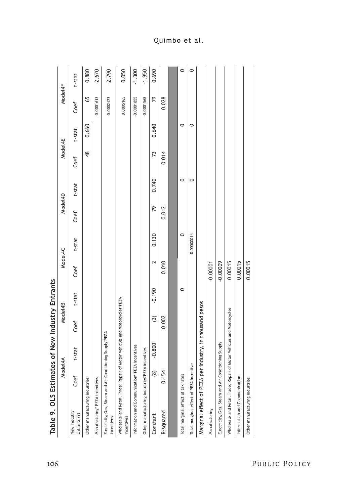| Table 9. OLS Estimates of New Industry Entrants                                         |             |                             |                         |          |            |            |         |        |               |         |              |          |
|-----------------------------------------------------------------------------------------|-------------|-----------------------------|-------------------------|----------|------------|------------|---------|--------|---------------|---------|--------------|----------|
|                                                                                         | Nod         | Jel4A                       | Model4B                 |          | Model4C    |            | Model4D |        | Model4E       |         | Model4F      |          |
| New Industry<br>Entrants (Y)                                                            | Coef        | t-stat                      | Coef                    | t-stat   | Coef       | t-stat     | Coef    | t-stat | Coef          | t-stat  | Coef         | t-stat   |
| Other manufacturing industries                                                          |             |                             |                         |          |            |            |         |        | $\frac{8}{4}$ | 0.660   | 65           | 0.880    |
| Manufacturing* PEZA incentives                                                          |             |                             |                         |          |            |            |         |        |               |         | $-0.0001613$ | $-2.670$ |
| Electricity, Gas, Steam and Air Conditioning Supply*PEZA<br>incentives                  |             |                             |                         |          |            |            |         |        |               |         | $-0.0002423$ | $-2.790$ |
| Wholesale and Retail Trade; Repair of Motor Vehicles and Motorcycles*PEZA<br>incentives |             |                             |                         |          |            |            |         |        |               |         | 0.0005165    | 0.050    |
| Information and Communication* PEZA incentives                                          |             |                             |                         |          |            |            |         |        |               |         | $-0.0001855$ | $-1.300$ |
| Other manufacturing industries*PEZA incentives                                          |             |                             |                         |          |            |            |         |        |               |         | $-0.0001568$ | $-1.950$ |
| Constant                                                                                | $\circledR$ | $-0.800$                    | $\widehat{\mathcal{C}}$ | $-0.190$ | 2          | 0.130      | 79      | 0.740  | 73            | 0.640   | 79           | 0.690    |
| R-squared                                                                               | 0.154       |                             | 0.002                   |          | 0.010      |            | 0.012   |        | 0.014         |         | 0.028        |          |
|                                                                                         |             |                             |                         |          |            |            |         |        |               |         |              |          |
| Total marginal effect of tax rates                                                      |             |                             |                         | $\circ$  |            | $\circ$    |         | 0      |               | $\circ$ |              | $\circ$  |
| Total marginal effect of PEZA incentive                                                 |             |                             |                         |          |            | 0.00000014 |         | 0      |               | $\circ$ |              | $\circ$  |
| Marginal effect of PEZA per                                                             |             | industry, in thousand pesos |                         |          |            |            |         |        |               |         |              |          |
| Manufacturing                                                                           |             |                             |                         |          | $-0.00001$ |            |         |        |               |         |              |          |
| Electricity, Gas, Steam and Air Conditioning Supply                                     |             |                             |                         |          | $-0.00009$ |            |         |        |               |         |              |          |
| Wholesale and Retail Trade; Repair of Motor Vehicles and Motorcycles                    |             |                             |                         |          | 0.00015    |            |         |        |               |         |              |          |
| Information and Communication                                                           |             |                             |                         |          | 0.00015    |            |         |        |               |         |              |          |
| Other manufacturing industries                                                          |             |                             |                         |          | 0.00015    |            |         |        |               |         |              |          |
|                                                                                         |             |                             |                         |          |            |            |         |        |               |         |              |          |

106 Public Policy

Quimbo et al.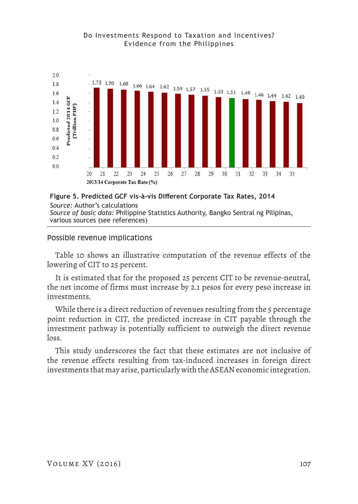



*Source:* Author's calculations *Source of basic data:* Philippine Statistics Authority, Bangko Sentral ng Pilipinas, various sources (see references)

# Possible revenue implications

Table 10 shows an illustrative computation of the revenue effects of the lowering of CIT to 25 percent.

It is estimated that for the proposed 25 percent CIT to be revenue-neutral, the net income of firms must increase by 2.1 pesos for every peso increase in investments.

While there is a direct reduction of revenues resulting from the 5 percentage point reduction in CIT, the predicted increase in CIT payable through the investment pathway is potentially sufficient to outweigh the direct revenue loss.

This study underscores the fact that these estimates are not inclusive of the revenue effects resulting from tax-induced increases in foreign direct investments that may arise, particularly with the ASEAN economic integration.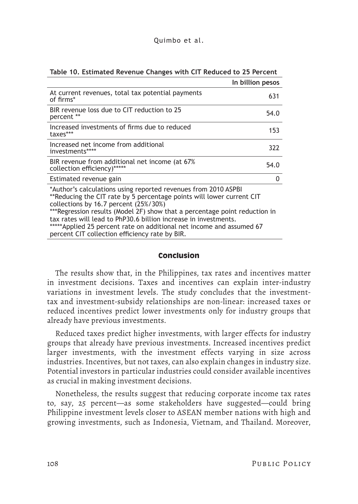| Quimbo et al. |  |  |  |
|---------------|--|--|--|
|               |  |  |  |

| In billion pesos                                                                                                                                                                                                                                                                                                                                                                                                                                             |      |
|--------------------------------------------------------------------------------------------------------------------------------------------------------------------------------------------------------------------------------------------------------------------------------------------------------------------------------------------------------------------------------------------------------------------------------------------------------------|------|
| At current revenues, total tax potential payments<br>of firms*                                                                                                                                                                                                                                                                                                                                                                                               | 631  |
| BIR revenue loss due to CIT reduction to 25<br>percent **                                                                                                                                                                                                                                                                                                                                                                                                    | 54.0 |
| Increased investments of firms due to reduced<br>taxes***                                                                                                                                                                                                                                                                                                                                                                                                    | 153  |
| Increased net income from additional<br>investments****                                                                                                                                                                                                                                                                                                                                                                                                      | 322  |
| BIR revenue from additional net income (at 67%<br>collection efficiency)*****                                                                                                                                                                                                                                                                                                                                                                                | 54.0 |
| Estimated revenue gain                                                                                                                                                                                                                                                                                                                                                                                                                                       | 0    |
| *Author's calculations using reported revenues from 2010 ASPBI<br>**Reducing the CIT rate by 5 percentage points will lower current CIT<br>collections by 16.7 percent (25%/30%)<br>*** Regression results (Model 2F) show that a percentage point reduction in<br>tax rates will lead to PhP30.6 billion increase in investments.<br>*****Applied 25 percent rate on additional net income and assumed 67<br>percent CIT collection efficiency rate by BIR. |      |

### **Table 10. Estimated Revenue Changes with CIT Reduced to 25 Percent**

### **Conclusion**

The results show that, in the Philippines, tax rates and incentives matter in investment decisions. Taxes and incentives can explain inter-industry variations in investment levels. The study concludes that the investmenttax and investment-subsidy relationships are non-linear: increased taxes or reduced incentives predict lower investments only for industry groups that already have previous investments.

Reduced taxes predict higher investments, with larger effects for industry groups that already have previous investments. Increased incentives predict larger investments, with the investment effects varying in size across industries. Incentives, but not taxes, can also explain changes in industry size. Potential investors in particular industries could consider available incentives as crucial in making investment decisions.

Nonetheless, the results suggest that reducing corporate income tax rates to, say, 25 percent—as some stakeholders have suggested—could bring Philippine investment levels closer to ASEAN member nations with high and growing investments, such as Indonesia, Vietnam, and Thailand. Moreover,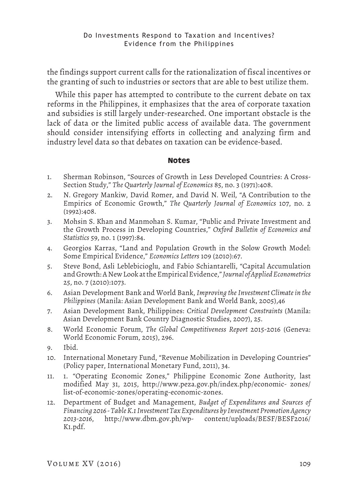the findings support current calls for the rationalization of fiscal incentives or the granting of such to industries or sectors that are able to best utilize them.

While this paper has attempted to contribute to the current debate on tax reforms in the Philippines, it emphasizes that the area of corporate taxation and subsidies is still largely under-researched. One important obstacle is the lack of data or the limited public access of available data. The government should consider intensifying efforts in collecting and analyzing firm and industry level data so that debates on taxation can be evidence-based.

### **Notes**

- 1. Sherman Robinson, "Sources of Growth in Less Developed Countries: A Cross-Section Study," *The Quarterly Journal of Economics* 85, no. 3 (1971):408.
- 2. N. Gregory Mankiw, David Romer, and David N. Weil, "A Contribution to the Empirics of Economic Growth," *The Quarterly Journal of Economics* 107, no. 2 (1992):408.
- 3. Mohsin S. Khan and Manmohan S. Kumar, "Public and Private Investment and the Growth Process in Developing Countries," *Oxford Bulletin of Economics and Statistics* 59, no. 1 (1997):84.
- 4. Georgios Karras, "Land and Population Growth in the Solow Growth Model: Some Empirical Evidence," *Economics Letters* 109 (2010):67.
- 5. Steve Bond, Asli Leblebicioglu, and Fabio Schiantarelli, "Capital Accumulation and Growth: A New Look at the Empirical Evidence," *Journal of Applied Econometrics* 25, no. 7 (2010):1073.
- 6. Asian Development Bank and World Bank, *Improving the Investment Climate in the Philippines* (Manila: Asian Development Bank and World Bank, 2005),46
- 7. Asian Development Bank, Philippines: *Critical Development Constraints* (Manila: Asian Development Bank Country Diagnostic Studies, 2007), 25.
- 8. World Economic Forum, *The Global Competitiveness Report* 2015-2016 (Geneva: World Economic Forum, 2015), 296.
- 9. Ibid.
- 10. International Monetary Fund, "Revenue Mobilization in Developing Countries" (Policy paper, International Monetary Fund, 2011), 34.
- 11. 1. "Operating Economic Zones," Philippine Economic Zone Authority, last modified May 31, 2015, http://www.peza.gov.ph/index.php/economic- zones/ list-of-economic-zones/operating-economic-zones.
- 12. Department of Budget and Management, *Budget of Expenditures and Sources of Financing 2016 - Table K.1 Investment Tax Expenditures by Investment Promotion Agency 2013-2016*, http://www.dbm.gov.ph/wp- content/uploads/BESF/BESF2016/ K1.pdf.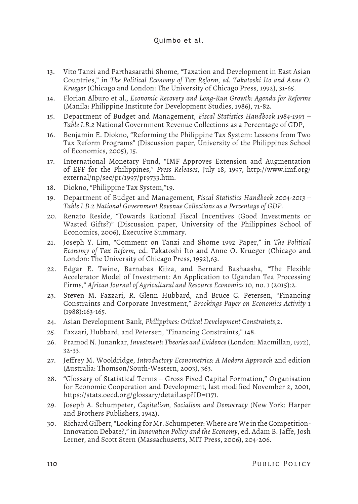# Quimbo et al.

- 13. Vito Tanzi and Parthasarathi Shome, "Taxation and Development in East Asian Countries," in *The Political Economy of Tax Reform, ed. Takatoshi Ito and Anne O. Krueger* (Chicago and London: The University of Chicago Press, 1992), 31-65.
- 14. Florian Alburo et al., *Economic Recovery and Long-Run Growth: Agenda for Reforms* (Manila: Philippine Institute for Development Studies, 1986), 71-82.
- 15. Department of Budget and Management, *Fiscal Statistics Handbook 1984-1993 Table I.B.2* National Government Revenue Collections as a Percentage of GDP,
- 16. Benjamin E. Diokno, "Reforming the Philippine Tax System: Lessons from Two Tax Reform Programs" (Discussion paper, University of the Philippines School of Economics, 2005), 15.
- 17. International Monetary Fund, "IMF Approves Extension and Augmentation of EFF for the Philippines," *Press Releases*, July 18, 1997, http://www.imf.org/ external/np/sec/pr/1997/pr9733.htm.
- 18. Diokno, "Philippine Tax System,"19.
- 19. Department of Budget and Management, *Fiscal Statistics Handbook 2004-2013 Table I.B.2 National Government Revenue Collections as a Percentage of GDP.*
- 20. Renato Reside, "Towards Rational Fiscal Incentives (Good Investments or Wasted Gifts?)" (Discussion paper, University of the Philippines School of Economics, 2006), Executive Summary.
- 21. Joseph Y. Lim, "Comment on Tanzi and Shome 1992 Paper," in *The Political Economy of Tax Reform,* ed. Takatoshi Ito and Anne O. Krueger (Chicago and London: The University of Chicago Press, 1992),63.
- 22. Edgar E. Twine, Barnabas Kiiza, and Bernard Bashaasha, "The Flexible Accelerator Model of Investment: An Application to Ugandan Tea Processing Firms," *African Journal of Agricultural and Resource Economics* 10, no. 1 (2015):2.
- 23. Steven M. Fazzari, R. Glenn Hubbard, and Bruce C. Petersen, "Financing Constraints and Corporate Investment," *Brookings Paper on Economics Activity* 1 (1988):163-165.
- 24. Asian Development Bank, *Philippines: Critical Development Constraints*,2.
- 25. Fazzari, Hubbard, and Petersen, "Financing Constraints," 148.
- 26. Pramod N. Junankar, *Investment: Theories and Evidence* (London: Macmillan, 1972), 32-33.
- 27. Jeffrey M. Wooldridge, *Introductory Econometrics: A Modern Approach* 2nd edition (Australia: Thomson/South-Western, 2003), 363.
- 28. "Glossary of Statistical Terms Gross Fixed Capital Formation," Organisation for Economic Cooperation and Development, last modified November 2, 2001, https://stats.oecd.org/glossary/detail.asp?ID=1171.
- 29. Joseph A. Schumpeter, *Capitalism, Socialism and Democracy* (New York: Harper and Brothers Publishers, 1942).
- 30. Richard Gilbert, "Looking for Mr. Schumpeter: Where are We in the Competition-Innovation Debate?," in *Innovation Policy and the Economy*, ed. Adam B. Jaffe, Josh Lerner, and Scott Stern (Massachusetts, MIT Press, 2006), 204-206.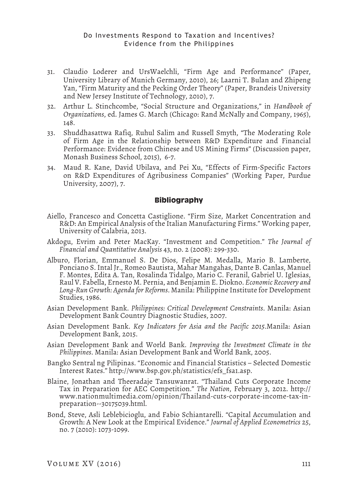- 31. Claudio Loderer and UrsWaelchli, "Firm Age and Performance" (Paper, University Library of Munich Germany, 2010), 26; Laarni T. Bulan and Zhipeng Yan, "Firm Maturity and the Pecking Order Theory" (Paper, Brandeis University and New Jersey Institute of Technology, 2010), 7.
- 32. Arthur L. Stinchcombe, "Social Structure and Organizations," in *Handbook of Organizations*, ed. James G. March (Chicago: Rand McNally and Company, 1965), 148.
- 33. Shuddhasattwa Rafiq, Ruhul Salim and Russell Smyth, "The Moderating Role of Firm Age in the Relationship between R&D Expenditure and Financial Performance: Evidence from Chinese and US Mining Firms" (Discussion paper, Monash Business School, 2015), 6-7.
- 34. Maud R. Kane, David Ubilava, and Pei Xu, "Effects of Firm-Specific Factors on R&D Expenditures of Agribusiness Companies" (Working Paper, Purdue University, 2007), 7.

### **Bibliography**

- Aiello, Francesco and Concetta Castiglione. "Firm Size, Market Concentration and R&D: An Empirical Analysis of the Italian Manufacturing Firms." Working paper, University of Calabria, 2013.
- Akdogu, Evrim and Peter MacKay. "Investment and Competition." *The Journal of Financial and Quantitative Analysis* 43, no. 2 (2008): 299-330.
- Alburo, Florian, Emmanuel S. De Dios, Felipe M. Medalla, Mario B. Lamberte, Ponciano S. Intal Jr., Romeo Bautista, Mahar Mangahas, Dante B. Canlas, Manuel F. Montes, Edita A. Tan, Rosalinda Tidalgo, Mario C. Feranil, Gabriel U. Iglesias, Raul V. Fabella, Ernesto M. Pernia, and Benjamin E. Diokno. *Economic Recovery and Long-Run Growth: Agenda for Reforms*. Manila: Philippine Institute for Development Studies, 1986.
- Asian Development Bank. *Philippines: Critical Development Constraints*. Manila: Asian Development Bank Country Diagnostic Studies, 2007.
- Asian Development Bank. *Key Indicators for Asia and the Pacific 2015*.Manila: Asian Development Bank, 2015.
- Asian Development Bank and World Bank. *Improving the Investment Climate in the Philippines*. Manila: Asian Development Bank and World Bank, 2005.
- Bangko Sentral ng Pilipinas. "Economic and Financial Statistics Selected Domestic Interest Rates." http://www.bsp.gov.ph/statistics/efs\_fsa1.asp.
- Blaine, Jonathan and Theeradaje Tansuwanrat. "Thailand Cuts Corporate Income Tax in Preparation for AEC Competition." *The Nation*, February 3, 2012. http:// www.nationmultimedia.com/opinion/Thailand-cuts-corporate-income-tax-inpreparation--30175039.html.
- Bond, Steve, Asli Leblebicioglu, and Fabio Schiantarelli. "Capital Accumulation and Growth: A New Look at the Empirical Evidence." *Journal of Applied Econometrics* 25, no. 7 (2010): 1073-1099.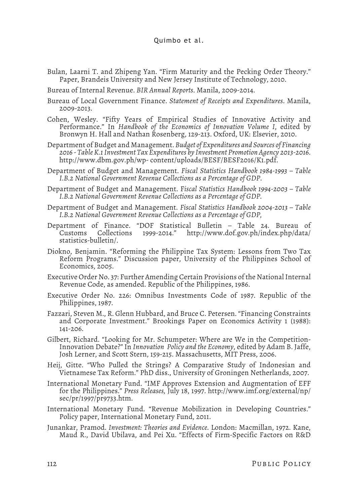- Bulan, Laarni T. and Zhipeng Yan. "Firm Maturity and the Pecking Order Theory." Paper, Brandeis University and New Jersey Institute of Technology, 2010.
- Bureau of Internal Revenue. *BIR Annual Reports*. Manila, 2009-2014.
- Bureau of Local Government Finance. *Statement of Receipts and Expenditures*. Manila, 2009-2013.
- Cohen, Wesley. "Fifty Years of Empirical Studies of Innovative Activity and Performance." In *Handbook of the Economics of Innovation Volume I*, edited by Bronwyn H. Hall and Nathan Rosenberg, 129-213. Oxford, UK: Elsevier, 2010.
- Department of Budget and Management. *Budget of Expenditures and Sources of Financing 2016 - Table K.1 Investment Tax Expenditures by Investment Promotion Agency 2013-2016*. http://www.dbm.gov.ph/wp- content/uploads/BESF/BESF2016/K1.pdf.
- Department of Budget and Management. *Fiscal Statistics Handbook 1984-1993 Table I.B.2 National Government Revenue Collections as a Percentage of GDP*.
- Department of Budget and Management. F*iscal Statistics Handbook 1994-2003 Table I.B.2 National Government Revenue Collections as a Percentage of GDP.*
- Department of Budget and Management. *Fiscal Statistics Handbook 2004-2013 Table I.B.2 National Government Revenue Collections as a Percentage of GDP,*
- Department of Finance. "DOF Statistical Bulletin Table 24. Bureau of Customs Collections 1999-2014." http://www.dof.gov.ph/index.php/data/ statistics-bulletin/.
- Diokno, Benjamin. "Reforming the Philippine Tax System: Lessons from Two Tax Reform Programs." Discussion paper, University of the Philippines School of Economics, 2005.
- Executive Order No. 37: Further Amending Certain Provisions of the National Internal Revenue Code, as amended. Republic of the Philippines, 1986.
- Executive Order No. 226: Omnibus Investments Code of 1987. Republic of the Philippines, 1987.
- Fazzari, Steven M., R. Glenn Hubbard, and Bruce C. Petersen. "Financing Constraints and Corporate Investment." Brookings Paper on Economics Activity 1 (1988): 141-206.
- Gilbert, Richard. "Looking for Mr. Schumpeter: Where are We in the Competition-Innovation Debate?" In *Innovation Policy and the Economy*, edited by Adam B. Jaffe, Josh Lerner, and Scott Stern, 159-215. Massachusetts, MIT Press, 2006.
- Heij, Gitte. "Who Pulled the Strings? A Comparative Study of Indonesian and Vietnamese Tax Reform." PhD diss., University of Groningen Netherlands, 2007.
- International Monetary Fund. "IMF Approves Extension and Augmentation of EFF for the Philippines." *Press Releases,* July 18, 1997. http://www.imf.org/external/np/ sec/pr/1997/pr9733.htm.
- International Monetary Fund. "Revenue Mobilization in Developing Countries." Policy paper, International Monetary Fund, 2011.
- Junankar, Pramod. *Investment: Theories and Evidence.* London: Macmillan, 1972. Kane, Maud R., David Ubilava, and Pei Xu. "Effects of Firm-Specific Factors on R&D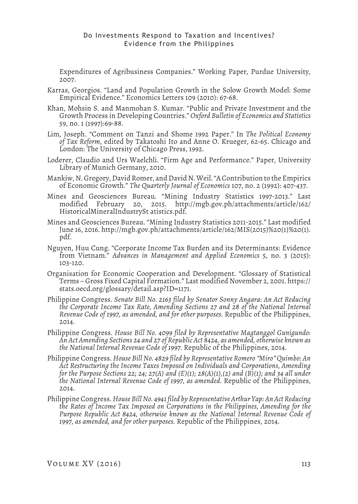Expenditures of Agribusiness Companies." Working Paper, Purdue University, 2007.

- Karras, Georgios. "Land and Population Growth in the Solow Growth Model: Some Empirical Evidence." Economics Letters 109 (2010): 67-68.
- Khan, Mohsin S. and Manmohan S. Kumar. "Public and Private Investment and the Growth Process in Developing Countries." *Oxford Bulletin of Economics and Statistics* 59, no. 1 (1997):69-88.
- Lim, Joseph. "Comment on Tanzi and Shome 1992 Paper." In *The Political Economy of Tax Reform*, edited by Takatoshi Ito and Anne O. Krueger, 62-65. Chicago and London: The University of Chicago Press, 1992.
- Loderer, Claudio and Urs Waelchli. "Firm Age and Performance." Paper, University Library of Munich Germany, 2010.
- Mankiw, N. Gregory, David Romer, and David N. Weil. "A Contribution to the Empirics of Economic Growth." *The Quarterly Journal of Economics* 107, no. 2 (1992): 407-437.
- Mines and Geosciences Bureau. "Mining Industry Statistics 1997-2013." Last modified February 20, 2015. http://mgb.gov.ph/attachments/article/162/ HistoricalMineralIndustrySt atistics.pdf.
- Mines and Geosciences Bureau. "Mining Industry Statistics 2011-2015." Last modified June 16, 2016. http://mgb.gov.ph/attachments/article/162/MIS(2015)%20(1)%20(1). pdf.
- Nguyen, Huu Cung. "Corporate Income Tax Burden and its Determinants: Evidence from Vietnam." *Advances in Management and Applied Economics* 5, no. 3 (2015): 103-120.
- Organisation for Economic Cooperation and Development. "Glossary of Statistical Terms – Gross Fixed Capital Formation." Last modified November 2, 2001. https:// stats.oecd.org/glossary/detail.asp?ID=1171.
- Philippine Congress. *Senate Bill No. 2163 filed by Senator Sonny Angara: An Act Reducing*  the Corporate Income Tax Rate, Amending Sections 27 and 28 of the National Internal *Revenue Code of 1997, as amended, and for other purposes.* Republic of the Philippines, 2014.
- Philippine Congress. *House Bill No. 4099 filed by Representative Magtanggol Gunigundo: An Act Amending Sections 24 and 27 of Republic Act 8424, as amended, otherwise known as the National Internal Revenue Code of 1997.* Republic of the Philippines, 2014.
- Philippine Congress. *House Bill No. 4829 filed by Representative Romero "Miro" Quimbo: An Act Restructuring the Income Taxes Imposed on Individuals and Corporations, Amending for the Purpose Sections 22; 24; 27(A) and (E)(1); 28(A)(1),(2) and (B)(1); and 34 all under the National Internal Revenue Code of 1997, as amended.* Republic of the Philippines, 2014.
- Philippine Congress. *House Bill No. 4941 filed by Representative Arthur Yap: An Act Reducing the Rates of Income Tax Imposed on Corporations in the Philippines, Amending for the Purpose Republic Act 8424, otherwise known as the National Internal Revenue Code of 1997, as amended, and for other purposes.* Republic of the Philippines, 2014.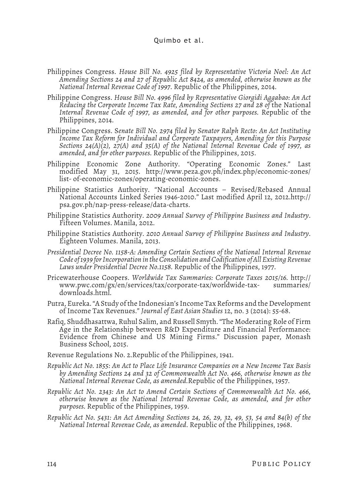- Philippines Congress. *House Bill No. 4925 filed by Representative Victoria Noel: An Act Amending Sections 24 and 27 of Republic Act 8424, as amended, otherwise known as the National Internal Revenue Code of 1997*. Republic of the Philippines, 2014.
- Philippine Congress. *House Bill No. 4996 filed by Representative Giorgidi Aggabao: An Act Reducing the Corporate Income Tax Rate, Amending Sections 27 and 28 of* the National *Internal Revenue Code of 1997, as amended, and for other purposes.* Republic of the Philippines, 2014.
- Philippine Congress. S*enate Bill No. 2974 filed by Senator Ralph Recto: An Act Instituting Income Tax Reform for Individual and Corporate Taxpayers, Amending for this Purpose Sections 24(A)(2), 27(A) and 35(A) of the National Internal Revenue Code of 1997, as amended, and for other purposes.* Republic of the Philippines, 2015.
- Philippine Economic Zone Authority. "Operating Economic Zones." Last modified May 31, 2015. http://www.peza.gov.ph/index.php/economic-zones/ list- of-economic-zones/operating-economic-zones.
- Philippine Statistics Authority. "National Accounts Revised/Rebased Annual National Accounts Linked Series 1946-2010." Last modified April 12, 2012.http:// psa.gov.ph/nap-press-release/data-charts.
- Philippine Statistics Authority. *2009 Annual Survey of Philippine Business and Industry*. Fifteen Volumes. Manila, 2012.
- Philippine Statistics Authority. *2010 Annual Survey of Philippine Business and Industry*. Eighteen Volumes. Manila, 2013.
- *Presidential Decree No. 1158-A: Amending Certain Sections of the National Internal Revenue Code of 1939 for Incorporation in the Consolidation and Codification of All Existing Revenue Laws under Presidential Decree No.1158.* Republic of the Philippines, 1977.
- Pricewaterhouse Coopers. *Worldwide Tax Summaries: Corporate Taxes 2015/16.* http:// www.pwc.com/gx/en/services/tax/corporate-tax/worldwide-tax- summaries/ downloads.html.
- Putra, Eureka. "A Study of the Indonesian's Income Tax Reforms and the Development of Income Tax Revenues." *Journal of East Asian Studies* 12, no. 3 (2014): 55-68.
- Rafiq, Shuddhasattwa, Ruhul Salim, and Russell Smyth. "The Moderating Role of Firm Age in the Relationship between R&D Expenditure and Financial Performance: Evidence from Chinese and US Mining Firms." Discussion paper, Monash Business School, 2015.
- Revenue Regulations No. 2.Republic of the Philippines, 1941.
- *Republic Act No. 1855: An Act to Place Life Insurance Companies on a New Income Tax Basis by Amending Sections 24 and 32 of Commonwealth Act No. 466, otherwise known as the National Internal Revenue Code, as amended.*Republic of the Philippines, 1957.
- *Republic Act No. 2343: An Act to Amend Certain Sections of Commonwealth Act No. 466, otherwise known as the National Internal Revenue Code, as amended, and for other purposes.* Republic of the Philippines, 1959.
- *Republic Act No. 5431: An Act Amending Sections 24, 26, 29, 32, 49, 53, 54 and 84(b) of the National Internal Revenue Code, as amended*. Republic of the Philippines, 1968.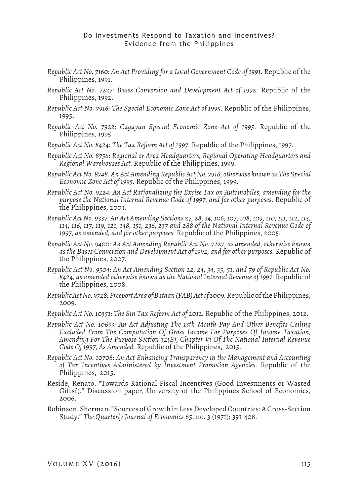- *Republic Act No. 7160: An Act Providing for a Local Government Code of 1991*. Republic of the Philippines, 1991.
- *Republic Act No. 7227: Bases Conversion and Development Act of 1992*. Republic of the Philippines, 1992.
- *Republic Act No. 7916: The Special Economic Zone Act of 1995*. Republic of the Philippines, 1995.
- *Republic Act No. 7922: Cagayan Special Economic Zone Act of 1995*. Republic of the Philippines, 1995.
- *Republic Act No. 8424: The Tax Reform Act of 1997*. Republic of the Philippines, 1997.
- *Republic Act No. 8756: Regional or Area Headquarters, Regional Operating Headquarters and Regional Warehouses Act.* Republic of the Philippines, 1999.
- *Republic Act No. 8748: An Act Amending Republic Act No. 7916, otherwise known as The Special Economic Zone Act of 1995.* Republic of the Philippines, 1999.
- *Republic Act No. 9224: An Act Rationalizing the Excise Tax on Automobiles, amending for the purpose the National Internal Revenue Code of 1997, and for other purposes.* Republic of the Philippines, 2003.
- *Republic Act No. 9337: An Act Amending Sections 27, 28, 34, 106, 107, 108, 109, 110, 111, 112, 113, 114, 116, 117, 119, 121, 148, 151, 236, 237 and 288 of the National Internal Revenue Code of 1997, as amended, and for other purposes.* Republic of the Philippines, 2005.
- *Republic Act No. 9400: An Act Amending Republic Act No. 7227, as amended, otherwise known as the Bases Conversion and Development Act of 1992, and for other purposes.* Republic of the Philippines, 2007.
- *Republic Act No. 9504: An Act Amending Section 22, 24, 34, 35, 51, and 79 of Republic Act No. 8424, as amended otherwise known as the National Internal Revenue of 1997.* Republic of the Philippines, 2008.
- *Republic Act No. 9728: Freeport Area of Bataan (FAB) Act of 2009.* Republic of the Philippines, 2009.
- *Republic Act No. 10351: The Sin Tax Reform Act of 2012.* Republic of the Philippines, 2012.
- *Republic Act No. 10653: An Act Adjusting The 13th Month Pay And Other Benefits Ceiling Excluded From The Computation Of Gross Income For Purposes Of Income Taxation, Amending For The Purpose Section 32(B), Chapter Vi Of The National Internal Revenue Code Of 1997, As Amended.* Republic of the Philippines, 2015.
- *Republic Act No. 10708: An Act Enhancing Transparency in the Management and Accounting of Tax Incentives Administered by Investment Promotion Agencies.* Republic of the Philippines, 2015.
- Reside, Renato. "Towards Rational Fiscal Incentives (Good Investments or Wasted Gifts?)." Discussion paper, University of the Philippines School of Economics, 2006.
- Robinson, Sherman. "Sources of Growth in Less Developed Countries: A Cross-Section Study." *The Quarterly Journal of Economics* 85, no. 3 (1971): 391-408.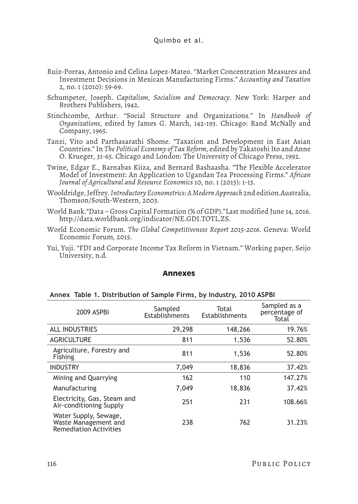- Ruiz-Porras, Antonio and Celina Lopez-Mateo. "Market Concentration Measures and Investment Decisions in Mexican Manufacturing Firms." *Accounting and Taxation*  2, no. 1 (2010): 59-69.
- Schumpeter, Joseph. *Capitalism, Socialism and Democracy*. New York: Harper and Brothers Publishers, 1942.
- Stinchcombe, Arthur. "Social Structure and Organizations." In *Handbook of Organizations*, edited by James G. March, 142-193. Chicago: Rand McNally and Company, 1965.
- Tanzi, Vito and Parthasarathi Shome. "Taxation and Development in East Asian Countries." In *The Political Economy of Tax Reform*, edited by Takatoshi Ito and Anne O. Krueger, 31-65. Chicago and London: The University of Chicago Press, 1992.
- Twine, Edgar E., Barnabas Kiiza, and Bernard Bashaasha. "The Flexible Accelerator Model of Investment: An Application to Ugandan Tea Processing Firms." *African Journal of Agricultural and Resource Economics* 10, no. 1 (2015): 1-15.
- Wooldridge, Jeffrey. *Introductory Econometrics: A Modern Approach* 2nd edition.Australia, Thomson/South-Western, 2003.
- World Bank."Data Gross Capital Formation (% of GDP)."Last modified June 14, 2016. http://data.worldbank.org/indicator/NE.GDI.TOTL.ZS.
- World Economic Forum. *The Global Competitiveness Report 2015-2016*. Geneva: World Economic Forum, 2015.
- Yui, Yuji. "FDI and Corporate Income Tax Reform in Vietnam." Working paper, Seijo University, n.d.

#### **Annexes**

#### **Annex Table 1. Distribution of Sample Firms, by Industry, 2010 ASPBI**

| 2009 ASPBI                                                                     | Sampled<br>Establishments | Total<br>Establishments | Sampled as a<br>percentage of<br>Total |
|--------------------------------------------------------------------------------|---------------------------|-------------------------|----------------------------------------|
| <b>ALL INDUSTRIES</b>                                                          | 29,298                    | 148,266                 | 19.76%                                 |
| <b>AGRICULTURE</b>                                                             | 811                       | 1,536                   | 52.80%                                 |
| Agriculture, Forestry and<br>Fishing                                           | 811                       | 1,536                   | 52.80%                                 |
| <b>INDUSTRY</b>                                                                | 7,049                     | 18,836                  | 37.42%                                 |
| Mining and Quarrying                                                           | 162                       | 110                     | 147.27%                                |
| Manufacturing                                                                  | 7,049                     | 18,836                  | 37.42%                                 |
| Electricity, Gas, Steam and<br>Air-conditioning Supply                         | 251                       | 231                     | 108.66%                                |
| Water Supply, Sewage,<br>Waste Management and<br><b>Remediation Activities</b> | 238                       | 762                     | 31.23%                                 |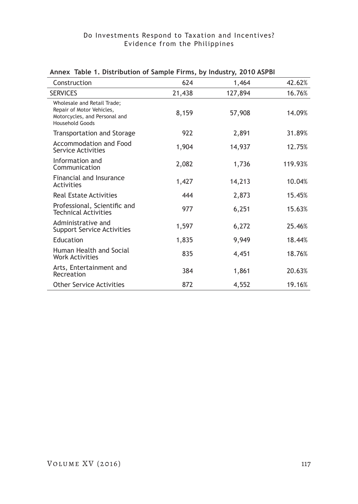| Construction                                                                                                        | 624    | 1,464   | 42.62%  |
|---------------------------------------------------------------------------------------------------------------------|--------|---------|---------|
| <b>SERVICES</b>                                                                                                     | 21,438 | 127,894 | 16.76%  |
| Wholesale and Retail Trade;<br>Repair of Motor Vehicles,<br>Motorcycles, and Personal and<br><b>Household Goods</b> | 8,159  | 57,908  | 14.09%  |
| Transportation and Storage                                                                                          | 922    | 2,891   | 31.89%  |
| Accommodation and Food<br>Service Activities                                                                        | 1,904  | 14,937  | 12.75%  |
| Information and<br>Communication                                                                                    | 2,082  | 1,736   | 119.93% |
| Financial and Insurance<br>Activities                                                                               | 1,427  | 14,213  | 10.04%  |
| <b>Real Estate Activities</b>                                                                                       | 444    | 2,873   | 15.45%  |
| Professional, Scientific and<br><b>Technical Activities</b>                                                         | 977    | 6,251   | 15.63%  |
| Administrative and<br><b>Support Service Activities</b>                                                             | 1,597  | 6,272   | 25.46%  |
| Education                                                                                                           | 1,835  | 9,949   | 18.44%  |
| Human Health and Social<br><b>Work Activities</b>                                                                   | 835    | 4,451   | 18.76%  |
| Arts, Entertainment and<br>Recreation                                                                               | 384    | 1,861   | 20.63%  |
| <b>Other Service Activities</b>                                                                                     | 872    | 4,552   | 19.16%  |

### **Annex Table 1. Distribution of Sample Firms, by Industry, 2010 ASPBI**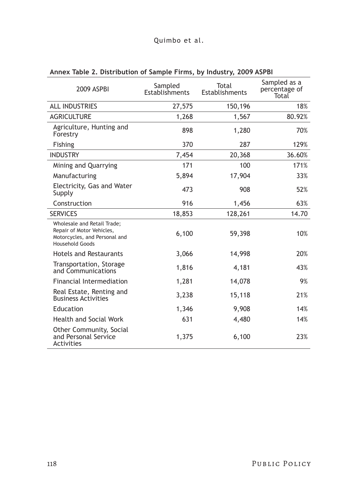# Quimbo et al.

| 2009 ASPBI                                                                                                                 | Sampled<br>Establishments | Total<br>Establishments | Sampled as a<br>percentage of<br>Total |
|----------------------------------------------------------------------------------------------------------------------------|---------------------------|-------------------------|----------------------------------------|
| <b>ALL INDUSTRIES</b>                                                                                                      | 27,575                    | 150,196                 | 18%                                    |
| <b>AGRICULTURE</b>                                                                                                         | 1,268                     | 1,567                   | 80.92%                                 |
| Agriculture, Hunting and<br>Forestry                                                                                       | 898                       | 1,280                   | 70%                                    |
| <b>Fishing</b>                                                                                                             | 370                       | 287                     | 129%                                   |
| <b>INDUSTRY</b>                                                                                                            | 7,454                     | 20,368                  | 36.60%                                 |
| Mining and Quarrying                                                                                                       | 171                       | 100                     | 171%                                   |
| Manufacturing                                                                                                              | 5,894                     | 17,904                  | 33%                                    |
| Electricity, Gas and Water<br>Supply                                                                                       | 473                       | 908                     | 52%                                    |
| Construction                                                                                                               | 916                       | 1,456                   | 63%                                    |
| <b>SERVICES</b>                                                                                                            | 18,853                    | 128,261                 | 14.70                                  |
| <b>Wholesale and Retail Trade;</b><br>Repair of Motor Vehicles,<br>Motorcycles, and Personal and<br><b>Household Goods</b> | 6,100                     | 59,398                  | 10%                                    |
| <b>Hotels and Restaurants</b>                                                                                              | 3,066                     | 14,998                  | 20%                                    |
| Transportation, Storage<br>and Communications                                                                              | 1,816                     | 4,181                   | 43%                                    |
| <b>Financial Intermediation</b>                                                                                            | 1,281                     | 14,078                  | 9%                                     |
| Real Estate, Renting and<br><b>Business Activities</b>                                                                     | 3,238                     | 15,118                  | 21%                                    |
| Education                                                                                                                  | 1,346                     | 9,908                   | 14%                                    |
| <b>Health and Social Work</b>                                                                                              | 631                       | 4,480                   | 14%                                    |
| Other Community, Social<br>and Personal Service<br>Activities                                                              | 1,375                     | 6,100                   | 23%                                    |

# **Annex Table 2. Distribution of Sample Firms, by Industry, 2009 ASPBI**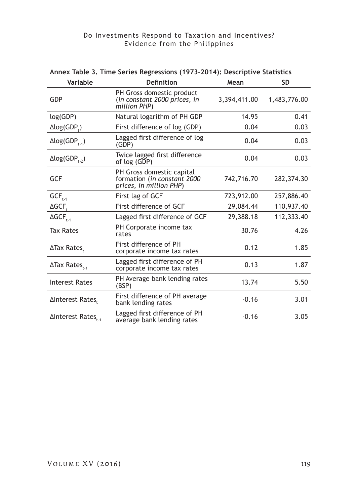| Variable                          | <b>Definition</b>                                                                   | Mean         | <b>SD</b>    |
|-----------------------------------|-------------------------------------------------------------------------------------|--------------|--------------|
| GDP                               | PH Gross domestic product<br>(in constant 2000 prices, in<br>million PHP)           | 3,394,411.00 | 1,483,776.00 |
| log(GDP)                          | Natural logarithm of PH GDP                                                         | 14.95        | 0.41         |
| $\Delta$ log(GDP <sub>+</sub> )   | First difference of log (GDP)                                                       | 0.04         | 0.03         |
| $\Delta$ log(GDP <sub>t-1</sub> ) | Lagged first difference of log<br>(GDP)                                             | 0.04         | 0.03         |
| $\Delta$ log(GDP <sub>1-2</sub> ) | Twice lagged first difference<br>of log (GDP)                                       | 0.04         | 0.03         |
| GCF                               | PH Gross domestic capital<br>formation (in constant 2000<br>prices, in million PHP) | 742,716.70   | 282,374.30   |
| $GCF_{t \cdot 1}$                 | First lag of GCF                                                                    | 723,912.00   | 257,886.40   |
| $\triangle GCF$                   | First difference of GCF                                                             | 29,084.44    | 110,937.40   |
| $\Delta GCF_{t-1}$                | Lagged first difference of GCF                                                      | 29,388.18    | 112,333.40   |
| <b>Tax Rates</b>                  | PH Corporate income tax<br>rates                                                    | 30.76        | 4.26         |
| ∆Tax Rates.                       | First difference of PH<br>corporate income tax rates                                | 0.12         | 1.85         |
| $\Delta$ Tax Rates <sub>t-1</sub> | Lagged first difference of PH<br>corporate income tax rates                         | 0.13         | 1.87         |
| Interest Rates                    | PH Average bank lending rates<br>(BSP)                                              | 13.74        | 5.50         |
| ∆Interest Rates.                  | First difference of PH average<br>bank lending rates                                | $-0.16$      | 3.01         |
| ∆Interest Rates <sub>t-1</sub>    | Lagged first difference of PH<br>average bank lending rates                         | $-0.16$      | 3.05         |

### **Annex Table 3. Time Series Regressions (1973-2014): Descriptive Statistics**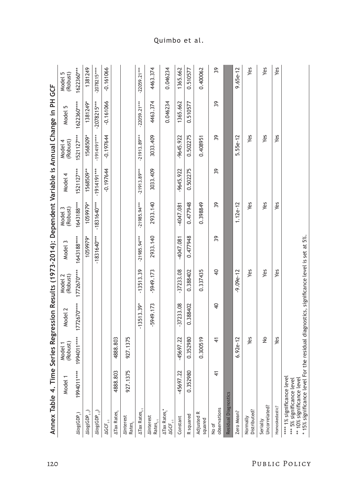|                                                                                                                      | Annex Table 4. Time |                                                            |                |                     |                |                     | Series Regression Results (1973-2014): Dependent Variable is Annual Change in PH GCF |                     |                |                     |
|----------------------------------------------------------------------------------------------------------------------|---------------------|------------------------------------------------------------|----------------|---------------------|----------------|---------------------|--------------------------------------------------------------------------------------|---------------------|----------------|---------------------|
|                                                                                                                      | <b>Model</b>        | (Robust)<br>Model 1                                        | Model 2        | (Robust)<br>Model 2 | Model 3        | (Robust)<br>Model 3 | Model 4                                                                              | (Robust)<br>Model 4 | Model 5        | Model 5<br>(Robust) |
| Alog(GDP <sub>r</sub> )                                                                                              | ****1004011         | ****1104661                                                | 1772670****    | 1772670****         | 1643188****    | 1643188***          | 1521127***                                                                           | 1521127***          | 1622360****    | 1622360***          |
| $\Delta$ log(GDP $_{t_{t+1}}$ )                                                                                      |                     |                                                            |                |                     | 1059979*       | 1059979*            | 1568509**                                                                            | 1568509*            | 1381249*       | 1381249             |
| $\Delta$ log(GDP $_{\rm t\text{-}2}$ )                                                                               |                     |                                                            |                |                     | $-1831640***$  | $-1831640***$       | -1914191***                                                                          | -1914191****        | $-2078215***$  | $-2078215***$       |
| $\Delta GCF_{_{\rm t\!f}}$                                                                                           |                     |                                                            |                |                     |                |                     | $-0.197644$                                                                          | $-0.197644$         | $-0.161066$    | $-0.161066$         |
| <b>ATax Rates,</b>                                                                                                   | 4888.803            | 4888.803                                                   |                |                     |                |                     |                                                                                      |                     |                |                     |
| <b>AInterest</b><br>Rates,                                                                                           | 927.1375            | 927.1375                                                   |                |                     |                |                     |                                                                                      |                     |                |                     |
| $\Delta$ Tax Rates <sub>t-1</sub>                                                                                    |                     |                                                            | $-13513.39*$   | $-13513.39$         | $-21985.94***$ | $-21985.94***$      | $-21913.89***$                                                                       | $-21913.89***$      | $-22059.21***$ | $-22059.21***$      |
| <b>AInterest</b><br>RateS <sub>et1</sub>                                                                             |                     |                                                            | -5949.173      | $-5949.173$         | 2933.140       | 2933.140            | 3033.409                                                                             | 3033.409            | 4463.374       | 4463.374            |
| ATax Rates,*<br>$\Delta GCF_{_{\rm t\!f}}$                                                                           |                     |                                                            |                |                     |                |                     |                                                                                      |                     | 0.046234       | 0.046234            |
| Constant                                                                                                             | 45697.22            | -45697.22                                                  | $-37233.08$    | $-37233.08$         | $-4047.081$    | $-4047.081$         | $-9645.922$                                                                          | -9645.922           | 1365.662       | 1365.662            |
| R squared                                                                                                            | 0.352980            | 0.352980                                                   | 0.388402       | 0.388402            | 0.477948       | 0.477948            | 0.502275                                                                             | 0.502275            | 0.510577       | 0.510577            |
| Adjusted R<br>squared                                                                                                |                     | 0.300519                                                   |                | 0.337435            |                | 0.398849            |                                                                                      | 0.408951            |                | 0.400062            |
| observations<br>No of                                                                                                | $\frac{4}{5}$       | 4                                                          | $\overline{a}$ | $\overline{a}$      | 39             | 39                  | 39                                                                                   | 39                  | 39             | 39                  |
| Residual Diagnostics                                                                                                 |                     |                                                            |                |                     |                |                     |                                                                                      |                     |                |                     |
| Zero Mean?                                                                                                           |                     | $6.92e-12$                                                 |                | $-9.09e-12$         |                | $1.12e-12$          |                                                                                      | 5.55e-12            |                | $9.65e-12$          |
| Distributed?<br>Normally                                                                                             |                     | Yes                                                        |                | Yes                 |                | Yes                 |                                                                                      | Yes                 |                | Yes                 |
| Uncorrelated?<br>Serially                                                                                            |                     | ş                                                          |                | Yes                 |                | Yes                 |                                                                                      | Yes                 |                | Yes                 |
| Homoskedastic?                                                                                                       |                     | Yes                                                        |                | Yes                 |                | Yes                 |                                                                                      | Yes                 |                | Yes                 |
| * 15% significance level For<br>**** 1% significance level<br>** 10% significance level<br>*** 5% significance level |                     | the residual diagnostics, significance level is set at 5%. |                |                     |                |                     |                                                                                      |                     |                |                     |

Quimbo et al.

120 Public Policy